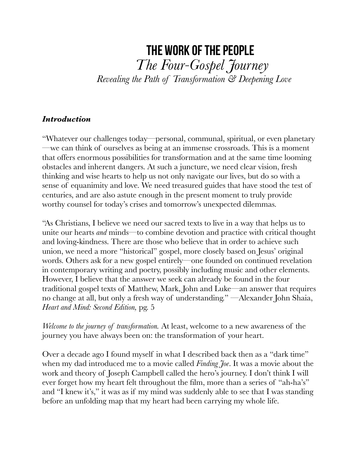# The Work of the People *The Four-Gospel Journey Revealing the Path of Transformation & Deepening Love*

#### *Introduction*

"Whatever our challenges today—personal, communal, spiritual, or even planetary —we can think of ourselves as being at an immense crossroads. This is a moment that offers enormous possibilities for transformation and at the same time looming obstacles and inherent dangers. At such a juncture, we need clear vision, fresh thinking and wise hearts to help us not only navigate our lives, but do so with a sense of equanimity and love. We need treasured guides that have stood the test of centuries, and are also astute enough in the present moment to truly provide worthy counsel for today's crises and tomorrow's unexpected dilemmas.

"As Christians, I believe we need our sacred texts to live in a way that helps us to unite our hearts *and* minds—to combine devotion and practice with critical thought and loving-kindness. There are those who believe that in order to achieve such union, we need a more "historical" gospel, more closely based on Jesus' original words. Others ask for a new gospel entirely—one founded on continued revelation in contemporary writing and poetry, possibly including music and other elements. However, I believe that the answer we seek can already be found in the four traditional gospel texts of Matthew, Mark, John and Luke—an answer that requires no change at all, but only a fresh way of understanding." —Alexander John Shaia, *Heart and Mind: Second Edition,* pg. 5

*Welcome to the journey of transformation.* At least, welcome to a new awareness of the journey you have always been on: the transformation of your heart.

Over a decade ago I found myself in what I described back then as a "dark time" when my dad introduced me to a movie called *Finding Joe*. It was a movie about the work and theory of Joseph Campbell called the hero's journey. I don't think I will ever forget how my heart felt throughout the film, more than a series of "ah-ha's" and "I knew it's," it was as if my mind was suddenly able to see that I was standing before an unfolding map that my heart had been carrying my whole life.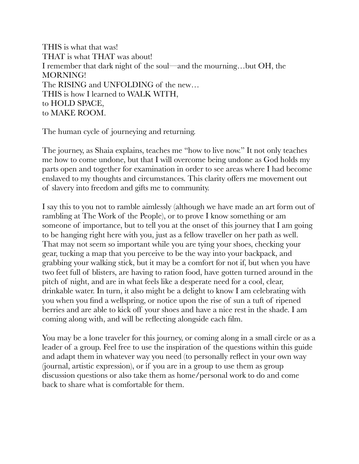THIS is what that was! THAT is what THAT was about! I remember that dark night of the soul—and the mourning…but OH, the MORNING! The RISING and UNFOLDING of the new… THIS is how I learned to WALK WITH, to HOLD SPACE, to MAKE ROOM.

The human cycle of journeying and returning.

The journey, as Shaia explains, teaches me "how to live now." It not only teaches me how to come undone, but that I will overcome being undone as God holds my parts open and together for examination in order to see areas where I had become enslaved to my thoughts and circumstances. This clarity offers me movement out of slavery into freedom and gifts me to community.

I say this to you not to ramble aimlessly (although we have made an art form out of rambling at The Work of the People), or to prove I know something or am someone of importance, but to tell you at the onset of this journey that I am going to be hanging right here with you, just as a fellow traveller on her path as well. That may not seem so important while you are tying your shoes, checking your gear, tucking a map that you perceive to be the way into your backpack, and grabbing your walking stick, but it may be a comfort for not if, but when you have two feet full of blisters, are having to ration food, have gotten turned around in the pitch of night, and are in what feels like a desperate need for a cool, clear, drinkable water. In turn, it also might be a delight to know I am celebrating with you when you find a wellspring, or notice upon the rise of sun a tuft of ripened berries and are able to kick off your shoes and have a nice rest in the shade. I am coming along with, and will be reflecting alongside each film.

You may be a lone traveler for this journey, or coming along in a small circle or as a leader of a group. Feel free to use the inspiration of the questions within this guide and adapt them in whatever way you need (to personally reflect in your own way (journal, artistic expression), or if you are in a group to use them as group discussion questions or also take them as home/personal work to do and come back to share what is comfortable for them.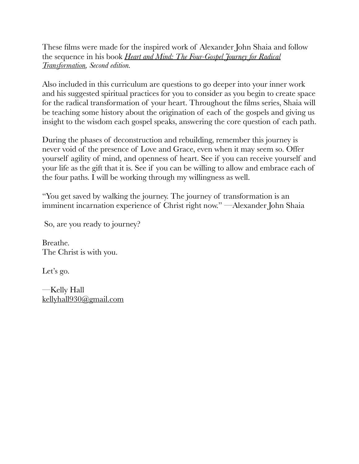These films were made for the inspired work of Alexander John Shaia and follow the sequence in his book *[Heart and Mind: The Four-Gospel Journey for Radical](http://www.quadratos.com/heart_and_mind/)  [Transformation,](http://www.quadratos.com/heart_and_mind/) Second edition.*

Also included in this curriculum are questions to go deeper into your inner work and his suggested spiritual practices for you to consider as you begin to create space for the radical transformation of your heart. Throughout the films series, Shaia will be teaching some history about the origination of each of the gospels and giving us insight to the wisdom each gospel speaks, answering the core question of each path.

During the phases of deconstruction and rebuilding, remember this journey is never void of the presence of Love and Grace, even when it may seem so. Offer yourself agility of mind, and openness of heart. See if you can receive yourself and your life as the gift that it is. See if you can be willing to allow and embrace each of the four paths. I will be working through my willingness as well.

"You get saved by walking the journey. The journey of transformation is an imminent incarnation experience of Christ right now." —Alexander John Shaia

So, are you ready to journey?

Breathe. The Christ is with you.

Let's go.

—Kelly Hall [kellyhall930@gmail.com](mailto:kellyhall930@gmail.com)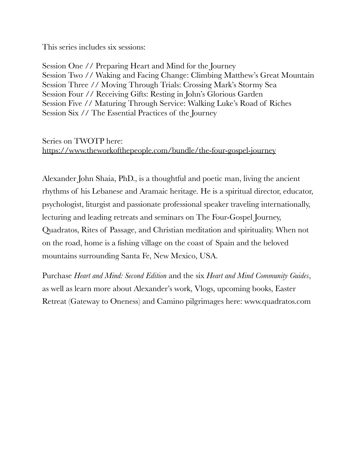This series includes six sessions:

Session One // Preparing Heart and Mind for the Journey Session Two // Waking and Facing Change: Climbing Matthew's Great Mountain Session Three // Moving Through Trials: Crossing Mark's Stormy Sea Session Four // Receiving Gifts: Resting in John's Glorious Garden Session Five // Maturing Through Service: Walking Luke's Road of Riches Session Six // The Essential Practices of the Journey

Series on TWOTP here: <https://www.theworkofthepeople.com/bundle/the-four-gospel-journey>

Alexander John Shaia, PhD., is a thoughtful and poetic man, living the ancient rhythms of his Lebanese and Aramaic heritage. He is a spiritual director, educator, psychologist, liturgist and passionate professional speaker traveling internationally, lecturing and leading retreats and seminars on The Four-Gospel Journey, Quadratos, Rites of Passage, and Christian meditation and spirituality. When not on the road, home is a fishing village on the coast of Spain and the beloved mountains surrounding Santa Fe, New Mexico, USA.

Purchase *Heart and Mind: Second Edition* and the six *Heart and Mind Community Guides*, as well as learn more about Alexander's work, Vlogs, upcoming books, Easter Retreat (Gateway to Oneness) and Camino pilgrimages here: www.quadratos.com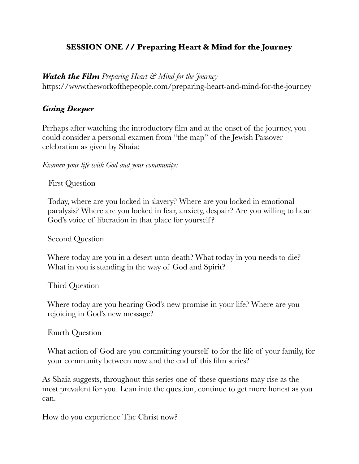## **SESSION ONE // Preparing Heart & Mind for the Journey**

*Watch the Film Preparing Heart & Mind for the Journey* 

https://www.theworkofthepeople.com/preparing-heart-and-mind-for-the-journey

#### *Going Deeper*

Perhaps after watching the introductory film and at the onset of the journey, you could consider a personal examen from "the map" of the Jewish Passover celebration as given by Shaia:

*Examen your life with God and your community:* 

First Question

Today, where are you locked in slavery? Where are you locked in emotional paralysis? Where are you locked in fear, anxiety, despair? Are you willing to hear God's voice of liberation in that place for yourself?

Second Question

Where today are you in a desert unto death? What today in you needs to die? What in you is standing in the way of God and Spirit?

Third Question

Where today are you hearing God's new promise in your life? Where are you rejoicing in God's new message?

Fourth Question

What action of God are you committing yourself to for the life of your family, for your community between now and the end of this film series?

As Shaia suggests, throughout this series one of these questions may rise as the most prevalent for you. Lean into the question, continue to get more honest as you can.

How do you experience The Christ now?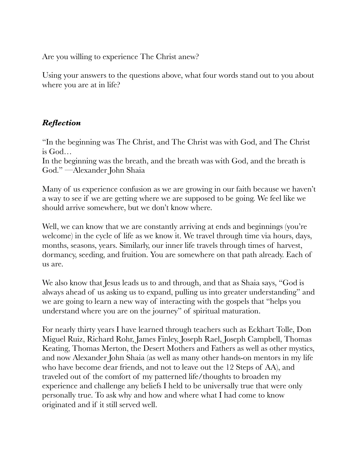Are you willing to experience The Christ anew?

Using your answers to the questions above, what four words stand out to you about where you are at in life?

# *Reflection*

"In the beginning was The Christ, and The Christ was with God, and The Christ is God…

In the beginning was the breath, and the breath was with God, and the breath is God." —Alexander John Shaia

Many of us experience confusion as we are growing in our faith because we haven't a way to see if we are getting where we are supposed to be going. We feel like we should arrive somewhere, but we don't know where.

Well, we can know that we are constantly arriving at ends and beginnings (you're welcome) in the cycle of life as we know it. We travel through time via hours, days, months, seasons, years. Similarly, our inner life travels through times of harvest, dormancy, seeding, and fruition. You are somewhere on that path already. Each of us are.

We also know that Jesus leads us to and through, and that as Shaia says, "God is always ahead of us asking us to expand, pulling us into greater understanding" and we are going to learn a new way of interacting with the gospels that "helps you understand where you are on the journey" of spiritual maturation.

For nearly thirty years I have learned through teachers such as Eckhart Tolle, Don Miguel Ruiz, Richard Rohr, James Finley, Joseph Rael, Joseph Campbell, Thomas Keating, Thomas Merton, the Desert Mothers and Fathers as well as other mystics, and now Alexander John Shaia (as well as many other hands-on mentors in my life who have become dear friends, and not to leave out the 12 Steps of AA), and traveled out of the comfort of my patterned life/thoughts to broaden my experience and challenge any beliefs I held to be universally true that were only personally true. To ask why and how and where what I had come to know originated and if it still served well.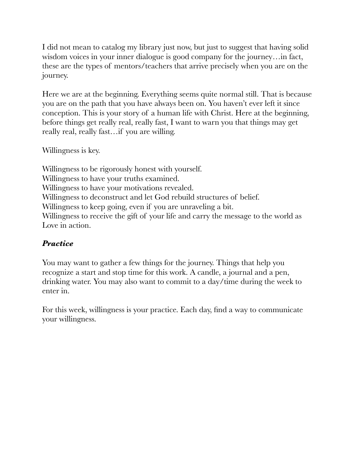I did not mean to catalog my library just now, but just to suggest that having solid wisdom voices in your inner dialogue is good company for the journey…in fact, these are the types of mentors/teachers that arrive precisely when you are on the journey.

Here we are at the beginning. Everything seems quite normal still. That is because you are on the path that you have always been on. You haven't ever left it since conception. This is your story of a human life with Christ. Here at the beginning, before things get really real, really fast, I want to warn you that things may get really real, really fast…if you are willing.

Willingness is key.

Willingness to be rigorously honest with yourself. Willingness to have your truths examined. Willingness to have your motivations revealed. Willingness to deconstruct and let God rebuild structures of belief. Willingness to keep going, even if you are unraveling a bit. Willingness to receive the gift of your life and carry the message to the world as Love in action.

# *Practice*

You may want to gather a few things for the journey. Things that help you recognize a start and stop time for this work. A candle, a journal and a pen, drinking water. You may also want to commit to a day/time during the week to enter in.

For this week, willingness is your practice. Each day, find a way to communicate your willingness.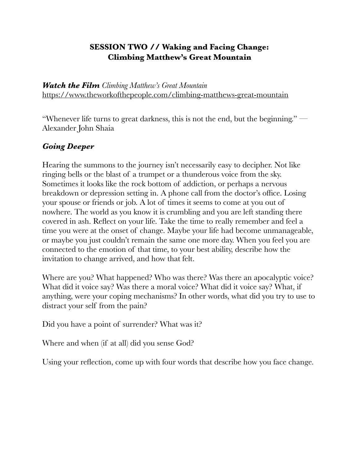## **SESSION TWO // Waking and Facing Change: Climbing Matthew's Great Mountain**

*Watch the Film Climbing Matthew's Great Mountain* <https://www.theworkofthepeople.com/climbing-matthews-great-mountain>

"Whenever life turns to great darkness, this is not the end, but the beginning."  $-$ Alexander John Shaia

# *Going Deeper*

Hearing the summons to the journey isn't necessarily easy to decipher. Not like ringing bells or the blast of a trumpet or a thunderous voice from the sky. Sometimes it looks like the rock bottom of addiction, or perhaps a nervous breakdown or depression setting in. A phone call from the doctor's office. Losing your spouse or friends or job. A lot of times it seems to come at you out of nowhere. The world as you know it is crumbling and you are left standing there covered in ash. Reflect on your life. Take the time to really remember and feel a time you were at the onset of change. Maybe your life had become unmanageable, or maybe you just couldn't remain the same one more day. When you feel you are connected to the emotion of that time, to your best ability, describe how the invitation to change arrived, and how that felt.

Where are you? What happened? Who was there? Was there an apocalyptic voice? What did it voice say? Was there a moral voice? What did it voice say? What, if anything, were your coping mechanisms? In other words, what did you try to use to distract your self from the pain?

Did you have a point of surrender? What was it?

Where and when (if at all) did you sense God?

Using your reflection, come up with four words that describe how you face change.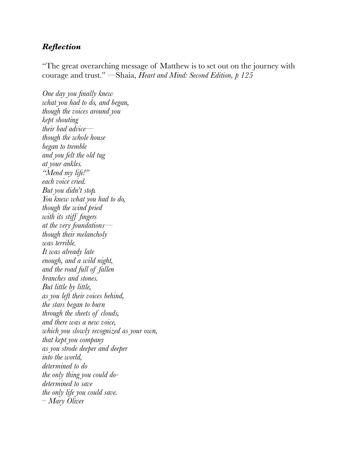#### *Reflection*

"The great overarching message of Matthew is to set out on the journey with courage and trust." —Shaia, *Heart and Mind: Second Edition, p 125*

*One day you finally knew what you had to do, and began, though the voices around you kept shouting their bad advice though the whole house began to tremble and you felt the old tug at your ankles. "Mend my life!" each voice cried. But you didn't stop. You knew what you had to do, though the wind pried with its stiff fingers at the very foundations though their melancholy was terrible. It was already late enough, and a wild night, and the road full of fallen branches and stones. But little by little, as you left their voices behind, the stars began to burn through the sheets of clouds, and there was a new voice, which you slowly recognized as your own, that kept you company as you strode deeper and deeper into the world, determined to do the only thing you could dodetermined to save the only life you could save. – Mary Oliver*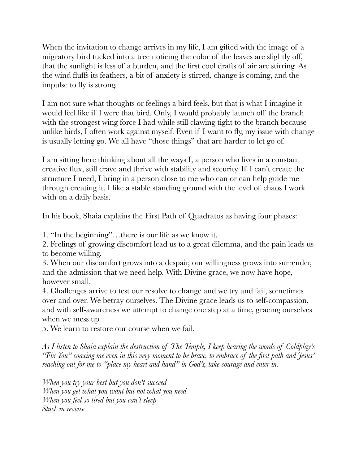When the invitation to change arrives in my life, I am gifted with the image of a migratory bird tucked into a tree noticing the color of the leaves are slightly off, that the sunlight is less of a burden, and the first cool drafts of air are stirring. As the wind fluffs its feathers, a bit of anxiety is stirred, change is coming, and the impulse to fly is strong.

I am not sure what thoughts or feelings a bird feels, but that is what I imagine it would feel like if I were that bird. Only, I would probably launch off the branch with the strongest wing force I had while still clawing tight to the branch because unlike birds, I often work against myself. Even if I want to fly, my issue with change is usually letting go. We all have "those things" that are harder to let go of.

I am sitting here thinking about all the ways I, a person who lives in a constant creative flux, still crave and thrive with stability and security. If I can't create the structure I need, I bring in a person close to me who can or can help guide me through creating it. I like a stable standing ground with the level of chaos I work with on a daily basis.

In his book, Shaia explains the First Path of Quadratos as having four phases:

1. "In the beginning"…there is our life as we know it.

2. Feelings of growing discomfort lead us to a great dilemma, and the pain leads us to become willing.

3. When our discomfort grows into a despair, our willingness grows into surrender, and the admission that we need help. With Divine grace, we now have hope, however small.

4. Challenges arrive to test our resolve to change and we try and fail, sometimes over and over. We betray ourselves. The Divine grace leads us to self-compassion, and with self-awareness we attempt to change one step at a time, gracing ourselves when we mess up.

5. We learn to restore our course when we fail.

*As I listen to Shaia explain the destruction of The Temple, I keep hearing the words of Coldplay's "Fix You" coaxing me even in this very moment to be brave, to embrace of the first path and Jesus' reaching out for me to "place my heart and hand" in God's, take courage and enter in.* 

*When you try your best but you don't succeed When you get what you want but not what you need When you feel so tired but you can't sleep Stuck in reverse*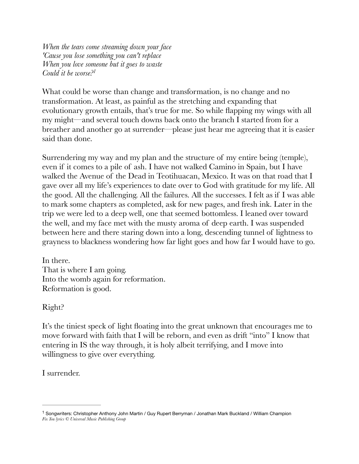*When the tears come streaming down your face 'Cause you lose something you can't replace When you love someone but it goes to waste Could it be worse?[1](#page-10-0)*

<span id="page-10-1"></span>What could be worse than change and transformation, is no change and no transformation. At least, as painful as the stretching and expanding that evolutionary growth entails, that's true for me. So while flapping my wings with all my might—and several touch downs back onto the branch I started from for a breather and another go at surrender—please just hear me agreeing that it is easier said than done.

Surrendering my way and my plan and the structure of my entire being (temple), even if it comes to a pile of ash. I have not walked Camino in Spain, but I have walked the Avenue of the Dead in Teotihuacan, Mexico. It was on that road that I gave over all my life's experiences to date over to God with gratitude for my life. All the good. All the challenging. All the failures. All the successes. I felt as if I was able to mark some chapters as completed, ask for new pages, and fresh ink. Later in the trip we were led to a deep well, one that seemed bottomless. I leaned over toward the well, and my face met with the musty aroma of deep earth. I was suspended between here and there staring down into a long, descending tunnel of lightness to grayness to blackness wondering how far light goes and how far I would have to go.

In there. That is where I am going. Into the womb again for reformation. Reformation is good.

Right?

It's the tiniest speck of light floating into the great unknown that encourages me to move forward with faith that I will be reborn, and even as drift "into" I know that entering in IS the way through, it is holy albeit terrifying, and I move into willingness to give over everything.

I surrender.

<span id="page-10-0"></span><sup>&</sup>lt;sup>[1](#page-10-1)</sup> Songwriters: Christopher Anthony John Martin / Guy Rupert Berryman / Jonathan Mark Buckland / William Champion *Fix You lyrics © Universal Music Publishing Group*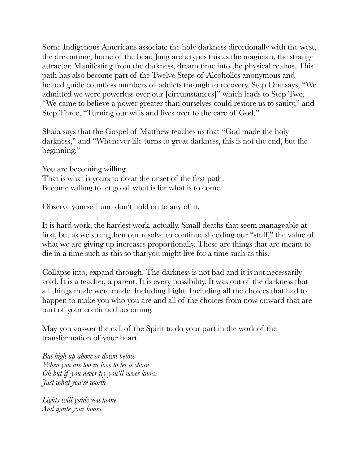Some Indigenous Americans associate the holy darkness directionally with the west, the dreamtime, home of the bear. Jung archetypes this as the magician, the strange attractor. Manifesting from the darkness, dream time into the physical realms. This path has also become part of the Twelve Steps of Alcoholics anonymous and helped guide countless numbers of addicts through to recovery. Step One says, "We admitted we were powerless over our [circumstances]" which leads to Step Two, "We came to believe a power greater than ourselves could restore us to sanity," and Step Three, "Turning our wills and lives over to the care of God."

Shaia says that the Gospel of Matthew teaches us that "God made the holy darkness," and "Whenever life turns to great darkness, this is not the end, but the beginning."

You are becoming willing. That is what is yours to do at the onset of the first path. Become willing to let go of what is for what is to come.

Observe yourself and don't hold on to any of it.

It is hard work, the hardest work, actually. Small deaths that seem manageable at first, but as we strengthen our resolve to continue shedding our "stuff," the value of what we are giving up increases proportionally. These are things that are meant to die in a time such as this so that you might live for a time such as this.

Collapse into, expand through. The darkness is not bad and it is not necessarily void. It is a teacher, a parent. It is every possibility. It was out of the darkness that all things made were made. Including Light. Including all the choices that had to happen to make you who you are and all of the choices from now onward that are part of your continued becoming.

May you answer the call of the Spirit to do your part in the work of the transformation of your heart.

*But high up above or down below When you are too in love to let it show Oh but if you never try you'll never know Just what you're worth* 

*Lights will guide you home And ignite your bones*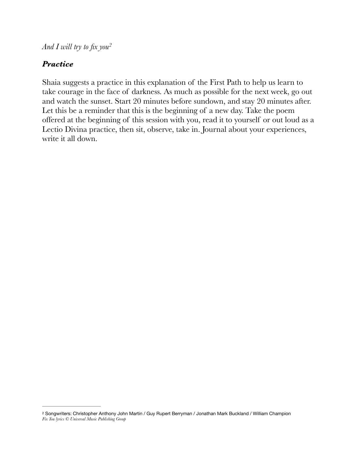## <span id="page-12-1"></span>*Practice*

Shaia suggests a practice in this explanation of the First Path to help us learn to take courage in the face of darkness. As much as possible for the next week, go out and watch the sunset. Start 20 minutes before sundown, and stay 20 minutes after. Let this be a reminder that this is the beginning of a new day. Take the poem offered at the beginning of this session with you, read it to yourself or out loud as a Lectio Divina practice, then sit, observe, take in. Journal about your experiences, write it all down.

<span id="page-12-0"></span>[<sup>2</sup>](#page-12-1) Songwriters: Christopher Anthony John Martin / Guy Rupert Berryman / Jonathan Mark Buckland / William Champion *Fix You lyrics © Universal Music Publishing Group*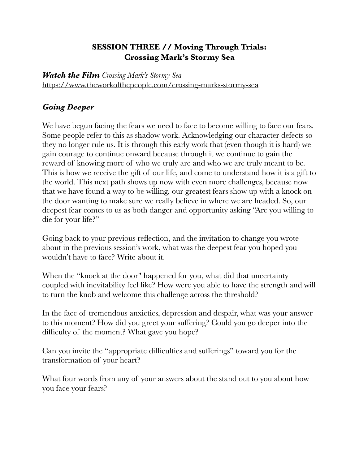### **SESSION THREE // Moving Through Trials: Crossing Mark's Stormy Sea**

*Watch the Film Crossing Mark's Stormy Sea*  <https://www.theworkofthepeople.com/crossing-marks-stormy-sea>

# *Going Deeper*

We have begun facing the fears we need to face to become willing to face our fears. Some people refer to this as shadow work. Acknowledging our character defects so they no longer rule us. It is through this early work that (even though it is hard) we gain courage to continue onward because through it we continue to gain the reward of knowing more of who we truly are and who we are truly meant to be. This is how we receive the gift of our life, and come to understand how it is a gift to the world. This next path shows up now with even more challenges, because now that we have found a way to be willing, our greatest fears show up with a knock on the door wanting to make sure we really believe in where we are headed. So, our deepest fear comes to us as both danger and opportunity asking "Are you willing to die for your life?"

Going back to your previous reflection, and the invitation to change you wrote about in the previous session's work, what was the deepest fear you hoped you wouldn't have to face? Write about it.

When the "knock at the door" happened for you, what did that uncertainty coupled with inevitability feel like? How were you able to have the strength and will to turn the knob and welcome this challenge across the threshold?

In the face of tremendous anxieties, depression and despair, what was your answer to this moment? How did you greet your suffering? Could you go deeper into the difficulty of the moment? What gave you hope?

Can you invite the "appropriate difficulties and sufferings" toward you for the transformation of your heart?

What four words from any of your answers about the stand out to you about how you face your fears?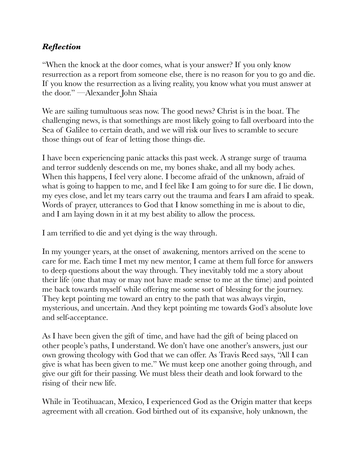# *Reflection*

"When the knock at the door comes, what is your answer? If you only know resurrection as a report from someone else, there is no reason for you to go and die. If you know the resurrection as a living reality, you know what you must answer at the door." —Alexander John Shaia

We are sailing tumultuous seas now. The good news? Christ is in the boat. The challenging news, is that somethings are most likely going to fall overboard into the Sea of Galilee to certain death, and we will risk our lives to scramble to secure those things out of fear of letting those things die.

I have been experiencing panic attacks this past week. A strange surge of trauma and terror suddenly descends on me, my bones shake, and all my body aches. When this happens, I feel very alone. I become afraid of the unknown, afraid of what is going to happen to me, and I feel like I am going to for sure die. I lie down, my eyes close, and let my tears carry out the trauma and fears I am afraid to speak. Words of prayer, utterances to God that I know something in me is about to die, and I am laying down in it at my best ability to allow the process.

I am terrified to die and yet dying is the way through.

In my younger years, at the onset of awakening, mentors arrived on the scene to care for me. Each time I met my new mentor, I came at them full force for answers to deep questions about the way through. They inevitably told me a story about their life (one that may or may not have made sense to me at the time) and pointed me back towards myself while offering me some sort of blessing for the journey. They kept pointing me toward an entry to the path that was always virgin, mysterious, and uncertain. And they kept pointing me towards God's absolute love and self-acceptance.

As I have been given the gift of time, and have had the gift of being placed on other people's paths, I understand. We don't have one another's answers, just our own growing theology with God that we can offer. As Travis Reed says, "All I can give is what has been given to me." We must keep one another going through, and give our gift for their passing. We must bless their death and look forward to the rising of their new life.

While in Teotihuacan, Mexico, I experienced God as the Origin matter that keeps agreement with all creation. God birthed out of its expansive, holy unknown, the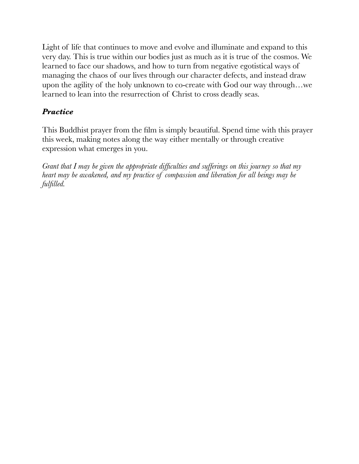Light of life that continues to move and evolve and illuminate and expand to this very day. This is true within our bodies just as much as it is true of the cosmos. We learned to face our shadows, and how to turn from negative egotistical ways of managing the chaos of our lives through our character defects, and instead draw upon the agility of the holy unknown to co-create with God our way through…we learned to lean into the resurrection of Christ to cross deadly seas.

## *Practice*

This Buddhist prayer from the film is simply beautiful. Spend time with this prayer this week, making notes along the way either mentally or through creative expression what emerges in you.

*Grant that I may be given the appropriate difficulties and sufferings on this journey so that my heart may be awakened, and my practice of compassion and liberation for all beings may be fulfilled.*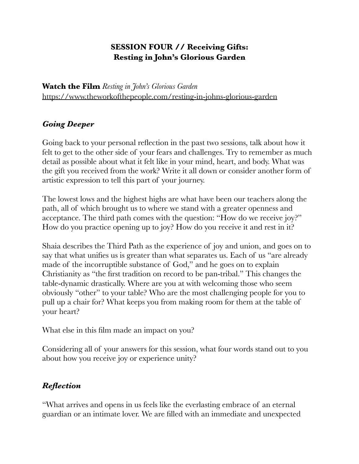# **SESSION FOUR // Receiving Gifts: Resting in John's Glorious Garden**

**Watch the Film** *Resting in John's Glorious Garden* <https://www.theworkofthepeople.com/resting-in-johns-glorious-garden>

## *Going Deeper*

Going back to your personal reflection in the past two sessions, talk about how it felt to get to the other side of your fears and challenges. Try to remember as much detail as possible about what it felt like in your mind, heart, and body. What was the gift you received from the work? Write it all down or consider another form of artistic expression to tell this part of your journey.

The lowest lows and the highest highs are what have been our teachers along the path, all of which brought us to where we stand with a greater openness and acceptance. The third path comes with the question: "How do we receive joy?" How do you practice opening up to joy? How do you receive it and rest in it?

Shaia describes the Third Path as the experience of joy and union, and goes on to say that what unifies us is greater than what separates us. Each of us "are already made of the incorruptible substance of God," and he goes on to explain Christianity as "the first tradition on record to be pan-tribal." This changes the table-dynamic drastically. Where are you at with welcoming those who seem obviously "other" to your table? Who are the most challenging people for you to pull up a chair for? What keeps you from making room for them at the table of your heart?

What else in this film made an impact on you?

Considering all of your answers for this session, what four words stand out to you about how you receive joy or experience unity?

# *Reflection*

"What arrives and opens in us feels like the everlasting embrace of an eternal guardian or an intimate lover. We are filled with an immediate and unexpected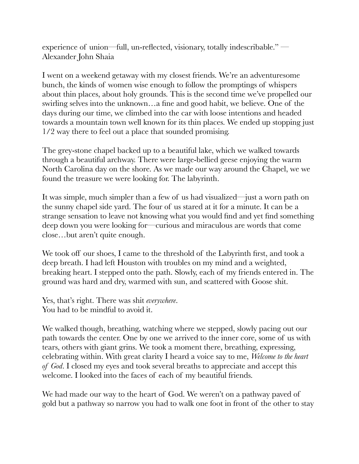experience of union—full, un-reflected, visionary, totally indescribable." *—* Alexander John Shaia

I went on a weekend getaway with my closest friends. We're an adventuresome bunch, the kinds of women wise enough to follow the promptings of whispers about thin places, about holy grounds. This is the second time we've propelled our swirling selves into the unknown…a fine and good habit, we believe. One of the days during our time, we climbed into the car with loose intentions and headed towards a mountain town well known for its thin places. We ended up stopping just 1/2 way there to feel out a place that sounded promising.

The grey-stone chapel backed up to a beautiful lake, which we walked towards through a beautiful archway. There were large-bellied geese enjoying the warm North Carolina day on the shore. As we made our way around the Chapel, we we found the treasure we were looking for. The labyrinth.

It was simple, much simpler than a few of us had visualized—just a worn path on the sunny chapel side yard. The four of us stared at it for a minute. It can be a strange sensation to leave not knowing what you would find and yet find something deep down you were looking for—curious and miraculous are words that come close…but aren't quite enough.

We took off our shoes, I came to the threshold of the Labyrinth first, and took a deep breath. I had left Houston with troubles on my mind and a weighted, breaking heart. I stepped onto the path. Slowly, each of my friends entered in. The ground was hard and dry, warmed with sun, and scattered with Goose shit.

Yes, that's right. There was shit *everywhere*. You had to be mindful to avoid it.

We walked though, breathing, watching where we stepped, slowly pacing out our path towards the center. One by one we arrived to the inner core, some of us with tears, others with giant grins. We took a moment there, breathing, expressing, celebrating within. With great clarity I heard a voice say to me, *Welcome to the heart of God*. I closed my eyes and took several breaths to appreciate and accept this welcome. I looked into the faces of each of my beautiful friends.

We had made our way to the heart of God. We weren't on a pathway paved of gold but a pathway so narrow you had to walk one foot in front of the other to stay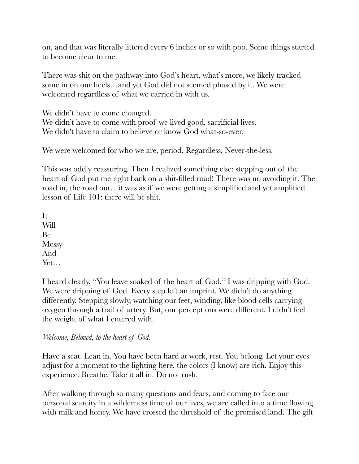on, and that was literally littered every 6 inches or so with poo. Some things started to become clear to me:

There was shit on the pathway into God's heart, what's more, we likely tracked some in on our heels…and yet God did not seemed phased by it. We were welcomed regardless of what we carried in with us.

We didn't have to come changed. We didn't have to come with proof we lived good, sacrificial lives. We didn't have to claim to believe or know God what-so-ever.

We were welcomed for who we are, period. Regardless. Never-the-less.

This was oddly reassuring. Then I realized something else: stepping out of the heart of God put me right back on a shit-filled road! There was no avoiding it. The road in, the road out…it was as if we were getting a simplified and yet amplified lesson of Life 101: there will be shit.

It Will Be **Messy** And Yet…

I heard clearly, "You leave soaked of the heart of God." I was dripping with God. We were dripping of God. Every step left an imprint. We didn't do anything differently. Stepping slowly, watching our feet, winding, like blood cells carrying oxygen through a trail of artery. But, our perceptions were different. I didn't feel the weight of what I entered with.

*Welcome, Beloved, to the heart of God*.

Have a seat. Lean in. You have been hard at work, rest. You belong. Let your eyes adjust for a moment to the lighting here, the colors (I know) are rich. Enjoy this experience. Breathe. Take it all in. Do not rush.

After walking through so many questions and fears, and coming to face our personal scarcity in a wilderness time of our lives, we are called into a time flowing with milk and honey. We have crossed the threshold of the promised land. The gift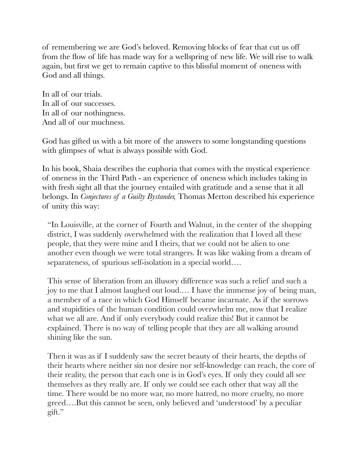of remembering we are God's beloved. Removing blocks of fear that cut us off from the flow of life has made way for a wellspring of new life. We will rise to walk again, but first we get to remain captive to this blissful moment of oneness with God and all things.

In all of our trials. In all of our successes. In all of our nothingness. And all of our muchness.

God has gifted us with a bit more of the answers to some longstanding questions with glimpses of what is always possible with God.

In his book, Shaia describes the euphoria that comes with the mystical experience of oneness in the Third Path - an experience of oneness which includes taking in with fresh sight all that the journey entailed with gratitude and a sense that it all belongs. In *Conjectures of a Guilty Bystander,* Thomas Merton described his experience of unity this way:

"In Louisville, at the corner of Fourth and Walnut, in the center of the shopping district, I was suddenly overwhelmed with the realization that I loved all these people, that they were mine and I theirs, that we could not be alien to one another even though we were total strangers. It was like waking from a dream of separateness, of spurious self-isolation in a special world….

This sense of liberation from an illusory difference was such a relief and such a joy to me that I almost laughed out loud.… I have the immense joy of being man, a member of a race in which God Himself became incarnate. As if the sorrows and stupidities of the human condition could overwhelm me, now that I realize what we all are. And if only everybody could realize this! But it cannot be explained. There is no way of telling people that they are all walking around shining like the sun.

Then it was as if I suddenly saw the secret beauty of their hearts, the depths of their hearts where neither sin nor desire nor self-knowledge can reach, the core of their reality, the person that each one is in God's eyes. If only they could all see themselves as they really are. If only we could see each other that way all the time. There would be no more war, no more hatred, no more cruelty, no more greed….But this cannot be seen, only believed and 'understood' by a peculiar gift."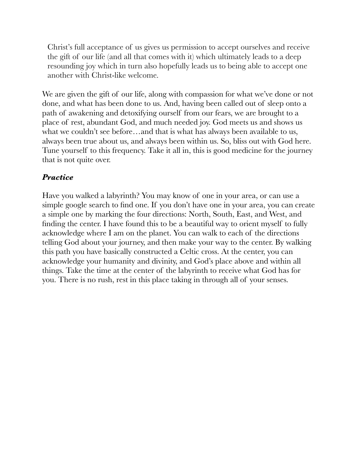Christ's full acceptance of us gives us permission to accept ourselves and receive the gift of our life (and all that comes with it) which ultimately leads to a deep resounding joy which in turn also hopefully leads us to being able to accept one another with Christ-like welcome.

We are given the gift of our life, along with compassion for what we've done or not done, and what has been done to us. And, having been called out of sleep onto a path of awakening and detoxifying ourself from our fears, we are brought to a place of rest, abundant God, and much needed joy. God meets us and shows us what we couldn't see before…and that is what has always been available to us, always been true about us, and always been within us. So, bliss out with God here. Tune yourself to this frequency. Take it all in, this is good medicine for the journey that is not quite over.

# *Practice*

Have you walked a labyrinth? You may know of one in your area, or can use a simple google search to find one. If you don't have one in your area, you can create a simple one by marking the four directions: North, South, East, and West, and finding the center. I have found this to be a beautiful way to orient myself to fully acknowledge where I am on the planet. You can walk to each of the directions telling God about your journey, and then make your way to the center. By walking this path you have basically constructed a Celtic cross. At the center, you can acknowledge your humanity and divinity, and God's place above and within all things. Take the time at the center of the labyrinth to receive what God has for you. There is no rush, rest in this place taking in through all of your senses.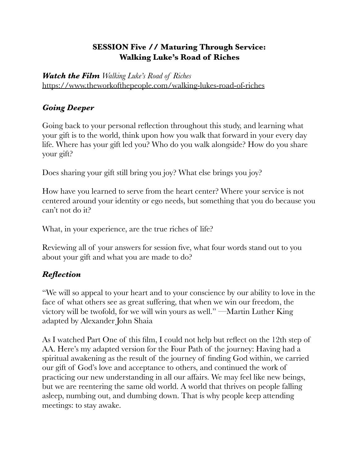## **SESSION Five // Maturing Through Service: Walking Luke's Road of Riches**

*Watch the Film Walking Luke's Road of Riches*  <https://www.theworkofthepeople.com/walking-lukes-road-of-riches>

# *Going Deeper*

Going back to your personal reflection throughout this study, and learning what your gift is to the world, think upon how you walk that forward in your every day life. Where has your gift led you? Who do you walk alongside? How do you share your gift?

Does sharing your gift still bring you joy? What else brings you joy?

How have you learned to serve from the heart center? Where your service is not centered around your identity or ego needs, but something that you do because you can't not do it?

What, in your experience, are the true riches of life?

Reviewing all of your answers for session five, what four words stand out to you about your gift and what you are made to do?

# *Reflection*

"We will so appeal to your heart and to your conscience by our ability to love in the face of what others see as great suffering, that when we win our freedom, the victory will be twofold, for we will win yours as well." —Martin Luther King adapted by Alexander John Shaia

As I watched Part One of this film, I could not help but reflect on the 12th step of AA. Here's my adapted version for the Four Path of the journey: Having had a spiritual awakening as the result of the journey of finding God within, we carried our gift of God's love and acceptance to others, and continued the work of practicing our new understanding in all our affairs. We may feel like new beings, but we are reentering the same old world. A world that thrives on people falling asleep, numbing out, and dumbing down. That is why people keep attending meetings: to stay awake.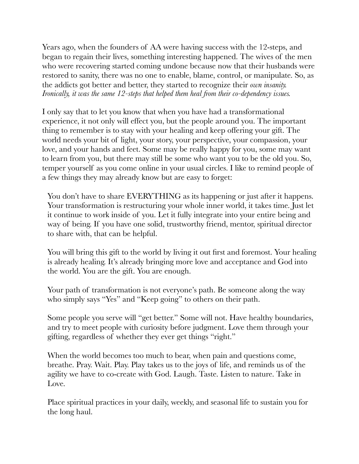Years ago, when the founders of AA were having success with the 12-steps, and began to regain their lives, something interesting happened. The wives of the men who were recovering started coming undone because now that their husbands were restored to sanity, there was no one to enable, blame, control, or manipulate. So, as the addicts got better and better, they started to recognize their *own insanity. Ironically, it was the same 12-steps that helped them heal from their co-dependency issues.* 

I only say that to let you know that when you have had a transformational experience, it not only will effect you, but the people around you. The important thing to remember is to stay with your healing and keep offering your gift. The world needs your bit of light, your story, your perspective, your compassion, your love, and your hands and feet. Some may be really happy for you, some may want to learn from you, but there may still be some who want you to be the old you. So, temper yourself as you come online in your usual circles. I like to remind people of a few things they may already know but are easy to forget:

You don't have to share EVERYTHING as its happening or just after it happens. Your transformation is restructuring your whole inner world, it takes time. Just let it continue to work inside of you. Let it fully integrate into your entire being and way of being. If you have one solid, trustworthy friend, mentor, spiritual director to share with, that can be helpful.

You will bring this gift to the world by living it out first and foremost. Your healing is already healing. It's already bringing more love and acceptance and God into the world. You are the gift. You are enough.

Your path of transformation is not everyone's path. Be someone along the way who simply says "Yes" and "Keep going" to others on their path.

Some people you serve will "get better." Some will not. Have healthy boundaries, and try to meet people with curiosity before judgment. Love them through your gifting, regardless of whether they ever get things "right."

When the world becomes too much to bear, when pain and questions come, breathe. Pray. Wait. Play. Play takes us to the joys of life, and reminds us of the agility we have to co-create with God. Laugh. Taste. Listen to nature. Take in Love.

Place spiritual practices in your daily, weekly, and seasonal life to sustain you for the long haul.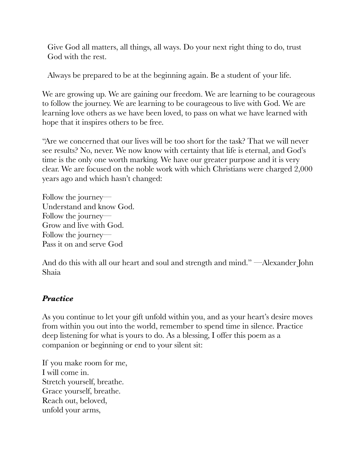Give God all matters, all things, all ways. Do your next right thing to do, trust God with the rest.

Always be prepared to be at the beginning again. Be a student of your life.

We are growing up. We are gaining our freedom. We are learning to be courageous to follow the journey. We are learning to be courageous to live with God. We are learning love others as we have been loved, to pass on what we have learned with hope that it inspires others to be free.

"Are we concerned that our lives will be too short for the task? That we will never see results? No, never. We now know with certainty that life is eternal, and God's time is the only one worth marking. We have our greater purpose and it is very clear. We are focused on the noble work with which Christians were charged 2,000 years ago and which hasn't changed:

Follow the journey— Understand and know God. Follow the journey— Grow and live with God. Follow the journey— Pass it on and serve God

And do this with all our heart and soul and strength and mind." —Alexander John Shaia

#### *Practice*

As you continue to let your gift unfold within you, and as your heart's desire moves from within you out into the world, remember to spend time in silence. Practice deep listening for what is yours to do. As a blessing, I offer this poem as a companion or beginning or end to your silent sit:

If you make room for me, I will come in. Stretch yourself, breathe. Grace yourself, breathe. Reach out, beloved, unfold your arms,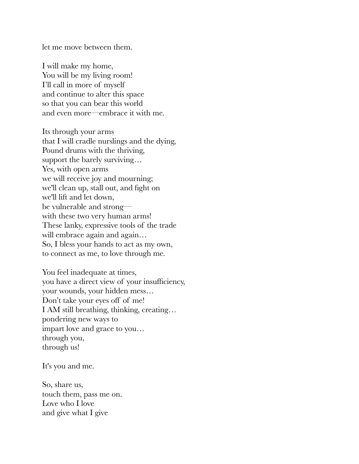let me move between them.

I will make my home, You will be my living room! I'll call in more of myself and continue to alter this space so that you can bear this world and even more—embrace it with me.

Its through your arms that I will cradle nurslings and the dying, Pound drums with the thriving, support the barely surviving… Yes, with open arms we will receive joy and mourning; we'll clean up, stall out, and fight on we'll lift and let down, be vulnerable and strong with these two very human arms! These lanky, expressive tools of the trade will embrace again and again... So, I bless your hands to act as my own, to connect as me, to love through me.

You feel inadequate at times, you have a direct view of your insufficiency, your wounds, your hidden mess… Don't take your eyes off of me! I AM still breathing, thinking, creating… pondering new ways to impart love and grace to you… through you, through us!

It's you and me.

So, share us, touch them, pass me on. Love who I love and give what I give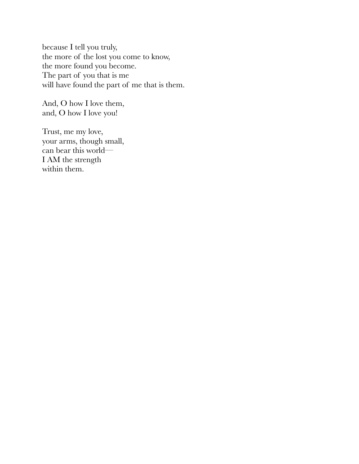because I tell you truly, the more of the lost you come to know, the more found you become. The part of you that is me will have found the part of me that is them.

And, O how I love them, and, O how I love you!

Trust, me my love, your arms, though small, can bear this world— I AM the strength within them.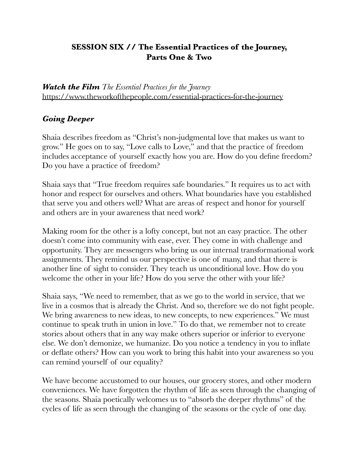## **SESSION SIX // The Essential Practices of the Journey, Parts One & Two**

*Watch the Film The Essential Practices for the Journey*  <https://www.theworkofthepeople.com/essential-practices-for-the-journey>

#### *Going Deeper*

Shaia describes freedom as "Christ's non-judgmental love that makes us want to grow." He goes on to say, "Love calls to Love," and that the practice of freedom includes acceptance of yourself exactly how you are. How do you define freedom? Do you have a practice of freedom?

Shaia says that "True freedom requires safe boundaries." It requires us to act with honor and respect for ourselves and others. What boundaries have you established that serve you and others well? What are areas of respect and honor for yourself and others are in your awareness that need work?

Making room for the other is a lofty concept, but not an easy practice. The other doesn't come into community with ease, ever. They come in with challenge and opportunity. They are messengers who bring us our internal transformational work assignments. They remind us our perspective is one of many, and that there is another line of sight to consider. They teach us unconditional love. How do you welcome the other in your life? How do you serve the other with your life?

Shaia says, "We need to remember, that as we go to the world in service, that we live in a cosmos that is already the Christ. And so, therefore we do not fight people. We bring awareness to new ideas, to new concepts, to new experiences." We must continue to speak truth in union in love." To do that, we remember not to create stories about others that in any way make others superior or inferior to everyone else. We don't demonize, we humanize. Do you notice a tendency in you to inflate or deflate others? How can you work to bring this habit into your awareness so you can remind yourself of our equality?

We have become accustomed to our houses, our grocery stores, and other modern conveniences. We have forgotten the rhythm of life as seen through the changing of the seasons. Shaia poetically welcomes us to "absorb the deeper rhythms" of the cycles of life as seen through the changing of the seasons or the cycle of one day.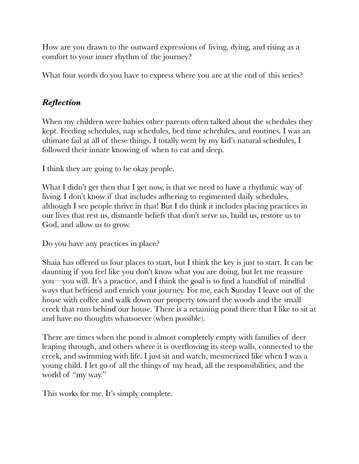How are you drawn to the outward expressions of living, dying, and rising as a comfort to your inner rhythm of the journey?

What four words do you have to express where you are at the end of this series?

# *Reflection*

When my children were babies other parents often talked about the schedules they kept. Feeding schedules, nap schedules, bed time schedules, and routines. I was an ultimate fail at all of these things. I totally went by my kid's natural schedules, I followed their innate knowing of when to eat and sleep.

I think they are going to be okay people.

What I didn't get then that I get now, is that we need to have a rhythmic way of living. I don't know if that includes adhering to regimented daily schedules, although I see people thrive in that! But I do think it includes placing practices in our lives that rest us, dismantle beliefs that don't serve us, build us, restore us to God, and allow us to grow.

Do you have any practices in place?

Shaia has offered us four places to start, but I think the key is just to start. It can be daunting if you feel like you don't know what you are doing, but let me reassure you—you will. It's a practice, and I think the goal is to find a handful of mindful ways that befriend and enrich your journey. For me, each Sunday I leave out of the house with coffee and walk down our property toward the woods and the small creek that runs behind our house. There is a retaining pond there that I like to sit at and have no thoughts whatsoever (when possible).

There are times when the pond is almost completely empty with families of deer leaping through, and others where it is overflowing its steep walls, connected to the creek, and swimming with life. I just sit and watch, mesmerized like when I was a young child. I let go of all the things of my head, all the responsibilities, and the world of "my way."

This works for me. It's simply complete.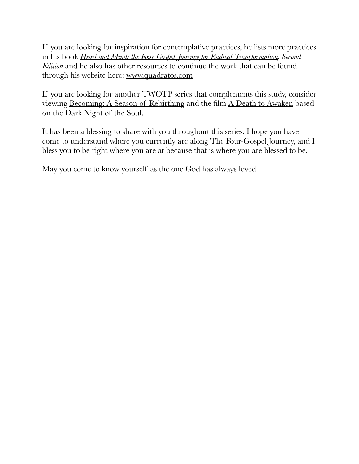If you are looking for inspiration for contemplative practices, he lists more practices in his book *[Heart and Mind: the Four-Gospel Journey for Radical Transformation](https://quadratos.com/heart_and_mind/), Second Edition* and he also has other resources to continue the work that can be found through his website here: [www.quadratos.com](http://www.quadratos.com)

If you are looking for another TWOTP series that complements this study, consider viewing [Becoming: A Season of Rebirthing](https://www.theworkofthepeople.com/bundle/becoming-a-season-for-rebirthing) and the film [A Death to Awaken](https://www.theworkofthepeople.com/a-death-to-awaken) based on the Dark Night of the Soul.

It has been a blessing to share with you throughout this series. I hope you have come to understand where you currently are along The Four-Gospel Journey, and I bless you to be right where you are at because that is where you are blessed to be.

May you come to know yourself as the one God has always loved.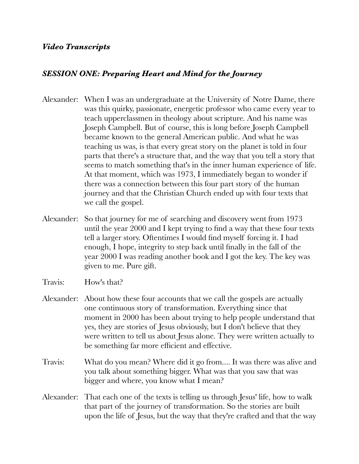#### *Video Transcripts*

#### *SESSION ONE: Preparing Heart and Mind for the Journey*

- Alexander: When I was an undergraduate at the University of Notre Dame, there was this quirky, passionate, energetic professor who came every year to teach upperclassmen in theology about scripture. And his name was Joseph Campbell. But of course, this is long before Joseph Campbell became known to the general American public. And what he was teaching us was, is that every great story on the planet is told in four parts that there's a structure that, and the way that you tell a story that seems to match something that's in the inner human experience of life. At that moment, which was 1973, I immediately began to wonder if there was a connection between this four part story of the human journey and that the Christian Church ended up with four texts that we call the gospel.
- Alexander: So that journey for me of searching and discovery went from 1973 until the year 2000 and I kept trying to find a way that these four texts tell a larger story. Oftentimes I would find myself forcing it. I had enough, I hope, integrity to step back until finally in the fall of the year 2000 I was reading another book and I got the key. The key was given to me. Pure gift.
- Travis: How's that?
- Alexander: About how these four accounts that we call the gospels are actually one continuous story of transformation. Everything since that moment in 2000 has been about trying to help people understand that yes, they are stories of Jesus obviously, but I don't believe that they were written to tell us about Jesus alone. They were written actually to be something far more efficient and effective.
- Travis: What do you mean? Where did it go from.... It was there was alive and you talk about something bigger. What was that you saw that was bigger and where, you know what I mean?
- Alexander: That each one of the texts is telling us through Jesus' life, how to walk that part of the journey of transformation. So the stories are built upon the life of Jesus, but the way that they're crafted and that the way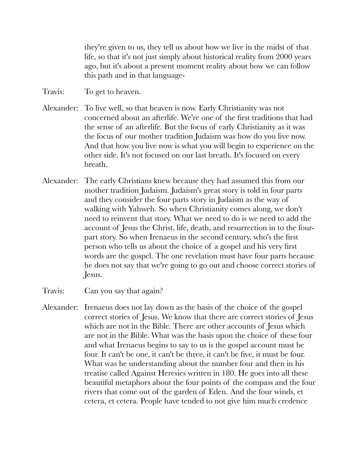they're given to us, they tell us about how we live in the midst of that life, so that it's not just simply about historical reality from 2000 years ago, but it's about a present moment reality about how we can follow this path and in that language-

- Travis: To get to heaven.
- Alexander: To live well, so that heaven is now. Early Christianity was not concerned about an afterlife. We're one of the first traditions that had the sense of an afterlife. But the focus of early Christianity as it was the focus of our mother tradition Judaism was how do you live now. And that how you live now is what you will begin to experience on the other side. It's not focused on our last breath. It's focused on every breath.
- Alexander: The early Christians knew because they had assumed this from our mother tradition Judaism. Judaism's great story is told in four parts and they consider the four parts story in Judaism as the way of walking with Yahweh. So when Christianity comes along, we don't need to reinvent that story. What we need to do is we need to add the account of Jesus the Christ, life, death, and resurrection in to the fourpart story. So when Irenaeus in the second century, who's the first person who tells us about the choice of a gospel and his very first words are the gospel. The one revelation must have four parts because he does not say that we're going to go out and choose correct stories of Jesus.
- Travis: Can you say that again?
- Alexander: Irenaeus does not lay down as the basis of the choice of the gospel correct stories of Jesus. We know that there are correct stories of Jesus which are not in the Bible. There are other accounts of Jesus which are not in the Bible. What was the basis upon the choice of these four and what Irenaeus begins to say to us is the gospel account must be four. It can't be one, it can't be three, it can't be five, it must be four. What was he understanding about the number four and then in his treatise called Against Heresies written in 180. He goes into all these beautiful metaphors about the four points of the compass and the four rivers that come out of the garden of Eden. And the four winds, et cetera, et cetera. People have tended to not give him much credence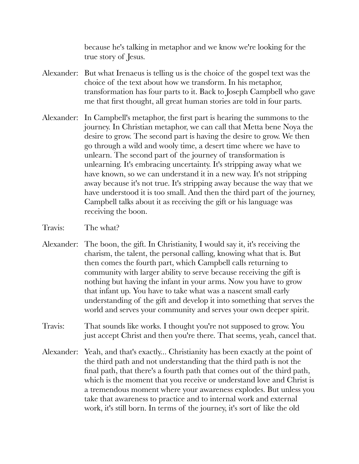because he's talking in metaphor and we know we're looking for the true story of Jesus.

- Alexander: But what Irenaeus is telling us is the choice of the gospel text was the choice of the text about how we transform. In his metaphor, transformation has four parts to it. Back to Joseph Campbell who gave me that first thought, all great human stories are told in four parts.
- Alexander: In Campbell's metaphor, the first part is hearing the summons to the journey. In Christian metaphor, we can call that Metta bene Noya the desire to grow. The second part is having the desire to grow. We then go through a wild and wooly time, a desert time where we have to unlearn. The second part of the journey of transformation is unlearning. It's embracing uncertainty. It's stripping away what we have known, so we can understand it in a new way. It's not stripping away because it's not true. It's stripping away because the way that we have understood it is too small. And then the third part of the journey, Campbell talks about it as receiving the gift or his language was receiving the boon.
- Travis: The what?
- Alexander: The boon, the gift. In Christianity, I would say it, it's receiving the charism, the talent, the personal calling, knowing what that is. But then comes the fourth part, which Campbell calls returning to community with larger ability to serve because receiving the gift is nothing but having the infant in your arms. Now you have to grow that infant up. You have to take what was a nascent small early understanding of the gift and develop it into something that serves the world and serves your community and serves your own deeper spirit.
- Travis: That sounds like works. I thought you're not supposed to grow. You just accept Christ and then you're there. That seems, yeah, cancel that.
- Alexander: Yeah, and that's exactly... Christianity has been exactly at the point of the third path and not understanding that the third path is not the final path, that there's a fourth path that comes out of the third path, which is the moment that you receive or understand love and Christ is a tremendous moment where your awareness explodes. But unless you take that awareness to practice and to internal work and external work, it's still born. In terms of the journey, it's sort of like the old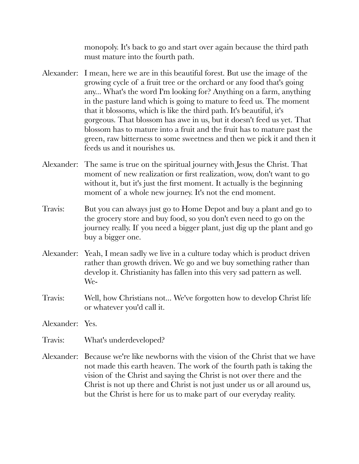monopoly. It's back to go and start over again because the third path must mature into the fourth path.

- Alexander: I mean, here we are in this beautiful forest. But use the image of the growing cycle of a fruit tree or the orchard or any food that's going any... What's the word I'm looking for? Anything on a farm, anything in the pasture land which is going to mature to feed us. The moment that it blossoms, which is like the third path. It's beautiful, it's gorgeous. That blossom has awe in us, but it doesn't feed us yet. That blossom has to mature into a fruit and the fruit has to mature past the green, raw bitterness to some sweetness and then we pick it and then it feeds us and it nourishes us.
- Alexander: The same is true on the spiritual journey with Jesus the Christ. That moment of new realization or first realization, wow, don't want to go without it, but it's just the first moment. It actually is the beginning moment of a whole new journey. It's not the end moment.
- Travis: But you can always just go to Home Depot and buy a plant and go to the grocery store and buy food, so you don't even need to go on the journey really. If you need a bigger plant, just dig up the plant and go buy a bigger one.
- Alexander: Yeah, I mean sadly we live in a culture today which is product driven rather than growth driven. We go and we buy something rather than develop it. Christianity has fallen into this very sad pattern as well. We-
- Travis: Well, how Christians not... We've forgotten how to develop Christ life or whatever you'd call it.
- Alexander: Yes.
- Travis: What's underdeveloped?
- Alexander: Because we're like newborns with the vision of the Christ that we have not made this earth heaven. The work of the fourth path is taking the vision of the Christ and saying the Christ is not over there and the Christ is not up there and Christ is not just under us or all around us, but the Christ is here for us to make part of our everyday reality.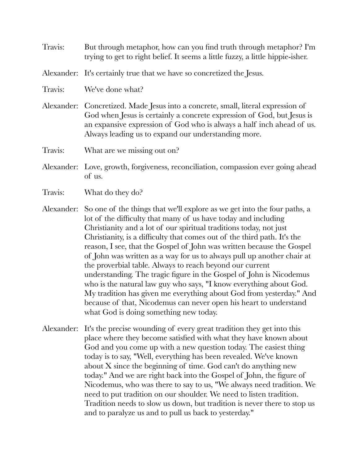| Travis: | But through metaphor, how can you find truth through metaphor? I'm<br>trying to get to right belief. It seems a little fuzzy, a little hippie-isher.                                                                                                                                       |
|---------|--------------------------------------------------------------------------------------------------------------------------------------------------------------------------------------------------------------------------------------------------------------------------------------------|
|         | Alexander: It's certainly true that we have so concretized the Jesus.                                                                                                                                                                                                                      |
| Travis: | We've done what?                                                                                                                                                                                                                                                                           |
|         | Alexander: Concretized. Made Jesus into a concrete, small, literal expression of<br>God when Jesus is certainly a concrete expression of God, but Jesus is<br>an expansive expression of God who is always a half inch ahead of us.<br>Always leading us to expand our understanding more. |
| Travis: | What are we missing out on?                                                                                                                                                                                                                                                                |
|         | Alexander: Love, growth, forgiveness, reconciliation, compassion ever going ahead<br>of us.                                                                                                                                                                                                |
| Travis: | What do they do?                                                                                                                                                                                                                                                                           |

- Alexander: So one of the things that we'll explore as we get into the four paths, a lot of the difficulty that many of us have today and including Christianity and a lot of our spiritual traditions today, not just Christianity, is a difficulty that comes out of the third path. It's the reason, I see, that the Gospel of John was written because the Gospel of John was written as a way for us to always pull up another chair at the proverbial table. Always to reach beyond our current understanding. The tragic figure in the Gospel of John is Nicodemus who is the natural law guy who says, "I know everything about God. My tradition has given me everything about God from yesterday." And because of that, Nicodemus can never open his heart to understand what God is doing something new today.
- Alexander: It's the precise wounding of every great tradition they get into this place where they become satisfied with what they have known about God and you come up with a new question today. The easiest thing today is to say, "Well, everything has been revealed. We've known about X since the beginning of time. God can't do anything new today." And we are right back into the Gospel of John, the figure of Nicodemus, who was there to say to us, "We always need tradition. We need to put tradition on our shoulder. We need to listen tradition. Tradition needs to slow us down, but tradition is never there to stop us and to paralyze us and to pull us back to yesterday."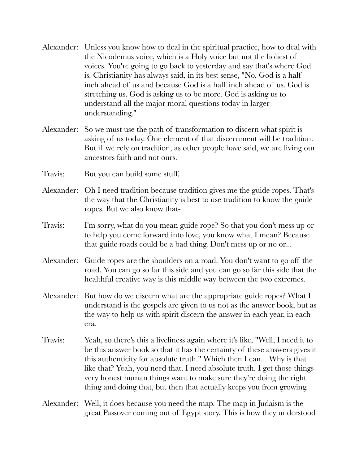- Alexander: Unless you know how to deal in the spiritual practice, how to deal with the Nicodemus voice, which is a Holy voice but not the holiest of voices. You're going to go back to yesterday and say that's where God is. Christianity has always said, in its best sense, "No, God is a half inch ahead of us and because God is a half inch ahead of us. God is stretching us. God is asking us to be more. God is asking us to understand all the major moral questions today in larger understanding."
- Alexander: So we must use the path of transformation to discern what spirit is asking of us today. One element of that discernment will be tradition. But if we rely on tradition, as other people have said, we are living our ancestors faith and not ours.
- Travis: But you can build some stuff.
- Alexander: Oh I need tradition because tradition gives me the guide ropes. That's the way that the Christianity is best to use tradition to know the guide ropes. But we also know that-
- Travis: I'm sorry, what do you mean guide rope? So that you don't mess up or to help you come forward into love, you know what I mean? Because that guide roads could be a bad thing. Don't mess up or no or...
- Alexander: Guide ropes are the shoulders on a road. You don't want to go off the road. You can go so far this side and you can go so far this side that the healthful creative way is this middle way between the two extremes.
- Alexander: But how do we discern what are the appropriate guide ropes? What I understand is the gospels are given to us not as the answer book, but as the way to help us with spirit discern the answer in each year, in each era.
- Travis: Yeah, so there's this a liveliness again where it's like, "Well, I need it to be this answer book so that it has the certainty of these answers gives it this authenticity for absolute truth." Which then I can... Why is that like that? Yeah, you need that. I need absolute truth. I get those things very honest human things want to make sure they're doing the right thing and doing that, but then that actually keeps you from growing.
- Alexander: Well, it does because you need the map. The map in Judaism is the great Passover coming out of Egypt story. This is how they understood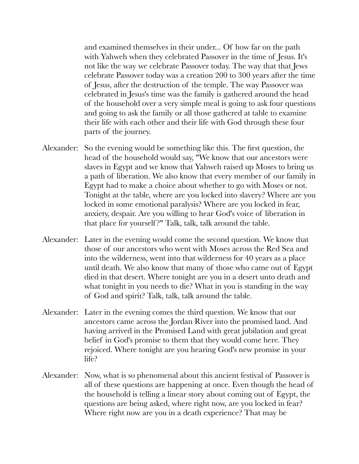and examined themselves in their under... Of how far on the path with Yahweh when they celebrated Passover in the time of Jesus. It's not like the way we celebrate Passover today. The way that that Jews celebrate Passover today was a creation 200 to 300 years after the time of Jesus, after the destruction of the temple. The way Passover was celebrated in Jesus's time was the family is gathered around the head of the household over a very simple meal is going to ask four questions and going to ask the family or all those gathered at table to examine their life with each other and their life with God through these four parts of the journey.

- Alexander: So the evening would be something like this. The first question, the head of the household would say, "We know that our ancestors were slaves in Egypt and we know that Yahweh raised up Moses to bring us a path of liberation. We also know that every member of our family in Egypt had to make a choice about whether to go with Moses or not. Tonight at the table, where are you locked into slavery? Where are you locked in some emotional paralysis? Where are you locked in fear, anxiety, despair. Are you willing to hear God's voice of liberation in that place for yourself ?" Talk, talk, talk around the table.
- Alexander: Later in the evening would come the second question. We know that those of our ancestors who went with Moses across the Red Sea and into the wilderness, went into that wilderness for 40 years as a place until death. We also know that many of those who came out of Egypt died in that desert. Where tonight are you in a desert unto death and what tonight in you needs to die? What in you is standing in the way of God and spirit? Talk, talk, talk around the table.
- Alexander: Later in the evening comes the third question. We know that our ancestors came across the Jordan River into the promised land. And having arrived in the Promised Land with great jubilation and great belief in God's promise to them that they would come here. They rejoiced. Where tonight are you hearing God's new promise in your life?
- Alexander: Now, what is so phenomenal about this ancient festival of Passover is all of these questions are happening at once. Even though the head of the household is telling a linear story about coming out of Egypt, the questions are being asked, where right now, are you locked in fear? Where right now are you in a death experience? That may be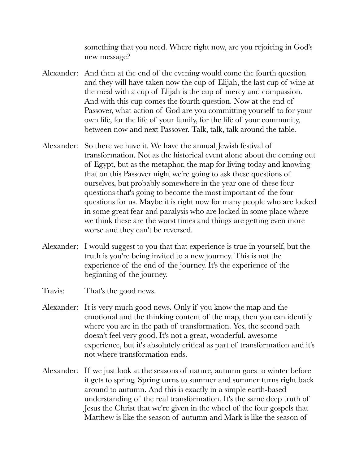something that you need. Where right now, are you rejoicing in God's new message?

- Alexander: And then at the end of the evening would come the fourth question and they will have taken now the cup of Elijah, the last cup of wine at the meal with a cup of Elijah is the cup of mercy and compassion. And with this cup comes the fourth question. Now at the end of Passover, what action of God are you committing yourself to for your own life, for the life of your family, for the life of your community, between now and next Passover. Talk, talk, talk around the table.
- Alexander: So there we have it. We have the annual Jewish festival of transformation. Not as the historical event alone about the coming out of Egypt, but as the metaphor, the map for living today and knowing that on this Passover night we're going to ask these questions of ourselves, but probably somewhere in the year one of these four questions that's going to become the most important of the four questions for us. Maybe it is right now for many people who are locked in some great fear and paralysis who are locked in some place where we think these are the worst times and things are getting even more worse and they can't be reversed.
- Alexander: I would suggest to you that that experience is true in yourself, but the truth is you're being invited to a new journey. This is not the experience of the end of the journey. It's the experience of the beginning of the journey.
- Travis: That's the good news.
- Alexander: It is very much good news. Only if you know the map and the emotional and the thinking content of the map, then you can identify where you are in the path of transformation. Yes, the second path doesn't feel very good. It's not a great, wonderful, awesome experience, but it's absolutely critical as part of transformation and it's not where transformation ends.
- Alexander: If we just look at the seasons of nature, autumn goes to winter before it gets to spring. Spring turns to summer and summer turns right back around to autumn. And this is exactly in a simple earth-based understanding of the real transformation. It's the same deep truth of Jesus the Christ that we're given in the wheel of the four gospels that Matthew is like the season of autumn and Mark is like the season of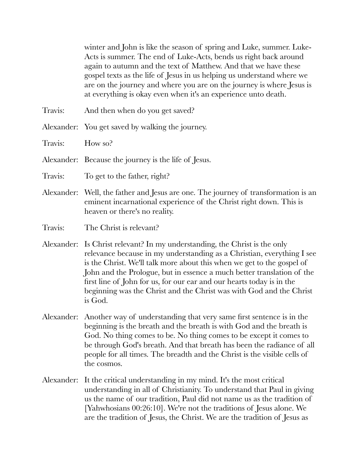winter and John is like the season of spring and Luke, summer. Luke-Acts is summer. The end of Luke-Acts, bends us right back around again to autumn and the text of Matthew. And that we have these gospel texts as the life of Jesus in us helping us understand where we are on the journey and where you are on the journey is where Jesus is at everything is okay even when it's an experience unto death.

- Travis: And then when do you get saved?
- Alexander: You get saved by walking the journey.

Travis: How so?

Alexander: Because the journey is the life of Jesus.

Travis: To get to the father, right?

- Alexander: Well, the father and Jesus are one. The journey of transformation is an eminent incarnational experience of the Christ right down. This is heaven or there's no reality.
- Travis: The Christ is relevant?
- Alexander: Is Christ relevant? In my understanding, the Christ is the only relevance because in my understanding as a Christian, everything I see is the Christ. We'll talk more about this when we get to the gospel of John and the Prologue, but in essence a much better translation of the first line of John for us, for our ear and our hearts today is in the beginning was the Christ and the Christ was with God and the Christ is God.
- Alexander: Another way of understanding that very same first sentence is in the beginning is the breath and the breath is with God and the breath is God. No thing comes to be. No thing comes to be except it comes to be through God's breath. And that breath has been the radiance of all people for all times. The breadth and the Christ is the visible cells of the cosmos.
- Alexander: It the critical understanding in my mind. It's the most critical understanding in all of Christianity. To understand that Paul in giving us the name of our tradition, Paul did not name us as the tradition of [Yahwhosians 00:26:10]. We're not the traditions of Jesus alone. We are the tradition of Jesus, the Christ. We are the tradition of Jesus as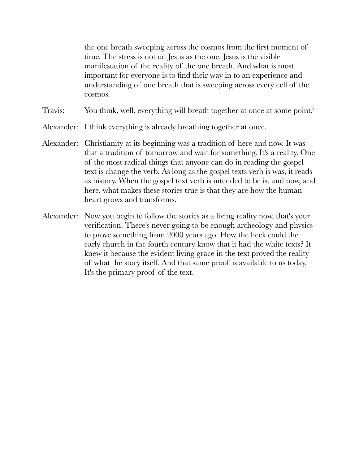the one breath sweeping across the cosmos from the first moment of time. The stress is not on Jesus as the one. Jesus is the visible manifestation of the reality of the one breath. And what is most important for everyone is to find their way in to an experience and understanding of one breath that is sweeping across every cell of the cosmos.

- Travis: You think, well, everything will breath together at once at some point?
- Alexander: I think everything is already breathing together at once.
- Alexander: Christianity at its beginning was a tradition of here and now. It was that a tradition of tomorrow and wait for something. It's a reality. One of the most radical things that anyone can do in reading the gospel text is change the verb. As long as the gospel texts verb is was, it reads as history. When the gospel text verb is intended to be is, and now, and here, what makes these stories true is that they are how the human heart grows and transforms.
- Alexander: Now you begin to follow the stories as a living reality now, that's your verification. There's never going to be enough archeology and physics to prove something from 2000 years ago. How the heck could the early church in the fourth century know that it had the white texts? It knew it because the evident living grace in the text proved the reality of what the story itself. And that same proof is available to us today. It's the primary proof of the text.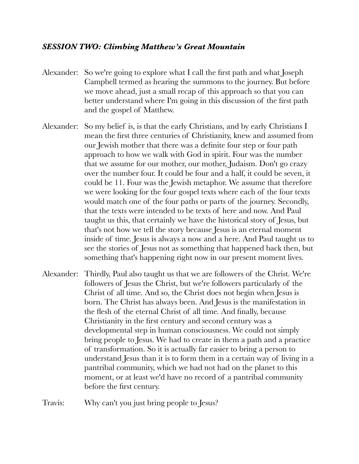## *SESSION TWO: Climbing Matthew's Great Mountain*

- Alexander: So we're going to explore what I call the first path and what Joseph Campbell termed as hearing the summons to the journey. But before we move ahead, just a small recap of this approach so that you can better understand where I'm going in this discussion of the first path and the gospel of Matthew.
- Alexander: So my belief is, is that the early Christians, and by early Christians I mean the first three centuries of Christianity, knew and assumed from our Jewish mother that there was a definite four step or four path approach to how we walk with God in spirit. Four was the number that we assume for our mother, our mother, Judaism. Don't go crazy over the number four. It could be four and a half, it could be seven, it could be 11. Four was the Jewish metaphor. We assume that therefore we were looking for the four gospel texts where each of the four texts would match one of the four paths or parts of the journey. Secondly, that the texts were intended to be texts of here and now. And Paul taught us this, that certainly we have the historical story of Jesus, but that's not how we tell the story because Jesus is an eternal moment inside of time. Jesus is always a now and a here. And Paul taught us to see the stories of Jesus not as something that happened back then, but something that's happening right now in our present moment lives.
- Alexander: Thirdly, Paul also taught us that we are followers of the Christ. We're followers of Jesus the Christ, but we're followers particularly of the Christ of all time. And so, the Christ does not begin when Jesus is born. The Christ has always been. And Jesus is the manifestation in the flesh of the eternal Christ of all time. And finally, because Christianity in the first century and second century was a developmental step in human consciousness. We could not simply bring people to Jesus. We had to create in them a path and a practice of transformation. So it is actually far easier to bring a person to understand Jesus than it is to form them in a certain way of living in a pantribal community, which we had not had on the planet to this moment, or at least we'd have no record of a pantribal community before the first century.

Travis: Why can't you just bring people to Jesus?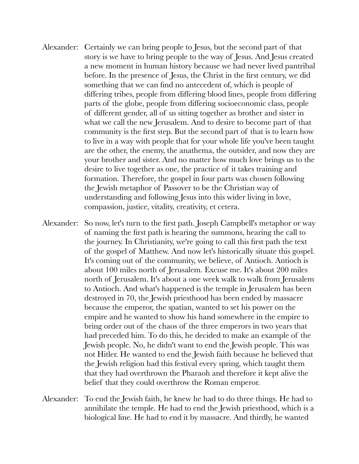- Alexander: Certainly we can bring people to Jesus, but the second part of that story is we have to bring people to the way of Jesus. And Jesus created a new moment in human history because we had never lived pantribal before. In the presence of Jesus, the Christ in the first century, we did something that we can find no antecedent of, which is people of differing tribes, people from differing blood lines, people from differing parts of the globe, people from differing socioeconomic class, people of different gender, all of us sitting together as brother and sister in what we call the new Jerusalem. And to desire to become part of that community is the first step. But the second part of that is to learn how to live in a way with people that for your whole life you've been taught are the other, the enemy, the anathema, the outsider, and now they are your brother and sister. And no matter how much love brings us to the desire to live together as one, the practice of it takes training and formation. Therefore, the gospel in four parts was chosen following the Jewish metaphor of Passover to be the Christian way of understanding and following Jesus into this wider living in love, compassion, justice, vitality, creativity, et cetera.
- Alexander: So now, let's turn to the first path. Joseph Campbell's metaphor or way of naming the first path is hearing the summons, hearing the call to the journey. In Christianity, we're going to call this first path the text of the gospel of Matthew. And now let's historically situate this gospel. It's coming out of the community, we believe, of Antioch. Antioch is about 100 miles north of Jerusalem. Excuse me. It's about 200 miles north of Jerusalem. It's about a one week walk to walk from Jerusalem to Antioch. And what's happened is the temple in Jerusalem has been destroyed in 70, the Jewish priesthood has been ended by massacre because the emperor, the spatian, wanted to set his power on the empire and he wanted to show his hand somewhere in the empire to bring order out of the chaos of the three emperors in two years that had preceded him. To do this, he decided to make an example of the Jewish people. No, he didn't want to end the Jewish people. This was not Hitler. He wanted to end the Jewish faith because he believed that the Jewish religion had this festival every spring, which taught them that they had overthrown the Pharaoh and therefore it kept alive the belief that they could overthrow the Roman emperor.
- Alexander: To end the Jewish faith, he knew he had to do three things. He had to annihilate the temple. He had to end the Jewish priesthood, which is a biological line. He had to end it by massacre. And thirdly, he wanted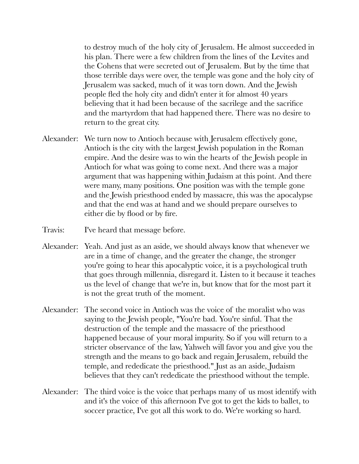to destroy much of the holy city of Jerusalem. He almost succeeded in his plan. There were a few children from the lines of the Levites and the Cohens that were secreted out of Jerusalem. But by the time that those terrible days were over, the temple was gone and the holy city of Jerusalem was sacked, much of it was torn down. And the Jewish people fled the holy city and didn't enter it for almost 40 years believing that it had been because of the sacrilege and the sacrifice and the martyrdom that had happened there. There was no desire to return to the great city.

- Alexander: We turn now to Antioch because with Jerusalem effectively gone, Antioch is the city with the largest Jewish population in the Roman empire. And the desire was to win the hearts of the Jewish people in Antioch for what was going to come next. And there was a major argument that was happening within Judaism at this point. And there were many, many positions. One position was with the temple gone and the Jewish priesthood ended by massacre, this was the apocalypse and that the end was at hand and we should prepare ourselves to either die by flood or by fire.
- Travis: I've heard that message before.
- Alexander: Yeah. And just as an aside, we should always know that whenever we are in a time of change, and the greater the change, the stronger you're going to hear this apocalyptic voice, it is a psychological truth that goes through millennia, disregard it. Listen to it because it teaches us the level of change that we're in, but know that for the most part it is not the great truth of the moment.
- Alexander: The second voice in Antioch was the voice of the moralist who was saying to the Jewish people, "You're bad. You're sinful. That the destruction of the temple and the massacre of the priesthood happened because of your moral impurity. So if you will return to a stricter observance of the law, Yahweh will favor you and give you the strength and the means to go back and regain Jerusalem, rebuild the temple, and rededicate the priesthood." Just as an aside, Judaism believes that they can't rededicate the priesthood without the temple.
- Alexander: The third voice is the voice that perhaps many of us most identify with and it's the voice of this afternoon I've got to get the kids to ballet, to soccer practice, I've got all this work to do. We're working so hard.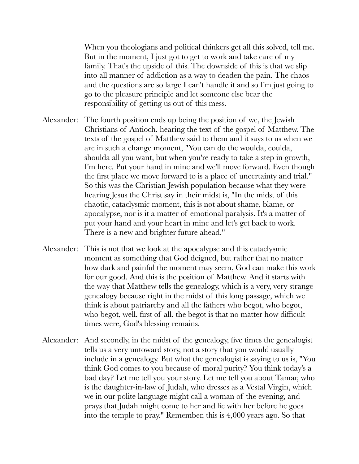When you theologians and political thinkers get all this solved, tell me. But in the moment, I just got to get to work and take care of my family. That's the upside of this. The downside of this is that we slip into all manner of addiction as a way to deaden the pain. The chaos and the questions are so large I can't handle it and so I'm just going to go to the pleasure principle and let someone else bear the responsibility of getting us out of this mess.

- Alexander: The fourth position ends up being the position of we, the Jewish Christians of Antioch, hearing the text of the gospel of Matthew. The texts of the gospel of Matthew said to them and it says to us when we are in such a change moment, "You can do the woulda, coulda, shoulda all you want, but when you're ready to take a step in growth, I'm here. Put your hand in mine and we'll move forward. Even though the first place we move forward to is a place of uncertainty and trial." So this was the Christian Jewish population because what they were hearing Jesus the Christ say in their midst is, "In the midst of this chaotic, cataclysmic moment, this is not about shame, blame, or apocalypse, nor is it a matter of emotional paralysis. It's a matter of put your hand and your heart in mine and let's get back to work. There is a new and brighter future ahead."
- Alexander: This is not that we look at the apocalypse and this cataclysmic moment as something that God deigned, but rather that no matter how dark and painful the moment may seem, God can make this work for our good. And this is the position of Matthew. And it starts with the way that Matthew tells the genealogy, which is a very, very strange genealogy because right in the midst of this long passage, which we think is about patriarchy and all the fathers who begot, who begot, who begot, well, first of all, the begot is that no matter how difficult times were, God's blessing remains.
- Alexander: And secondly, in the midst of the genealogy, five times the genealogist tells us a very untoward story, not a story that you would usually include in a genealogy. But what the genealogist is saying to us is, "You think God comes to you because of moral purity? You think today's a bad day? Let me tell you your story. Let me tell you about Tamar, who is the daughter-in-law of Judah, who dresses as a Vestal Virgin, which we in our polite language might call a woman of the evening, and prays that Judah might come to her and lie with her before he goes into the temple to pray." Remember, this is 4,000 years ago. So that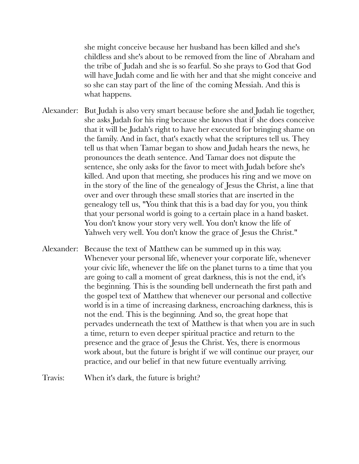she might conceive because her husband has been killed and she's childless and she's about to be removed from the line of Abraham and the tribe of Judah and she is so fearful. So she prays to God that God will have Judah come and lie with her and that she might conceive and so she can stay part of the line of the coming Messiah. And this is what happens.

- Alexander: But Judah is also very smart because before she and Judah lie together, she asks Judah for his ring because she knows that if she does conceive that it will be Judah's right to have her executed for bringing shame on the family. And in fact, that's exactly what the scriptures tell us. They tell us that when Tamar began to show and Judah hears the news, he pronounces the death sentence. And Tamar does not dispute the sentence, she only asks for the favor to meet with Judah before she's killed. And upon that meeting, she produces his ring and we move on in the story of the line of the genealogy of Jesus the Christ, a line that over and over through these small stories that are inserted in the genealogy tell us, "You think that this is a bad day for you, you think that your personal world is going to a certain place in a hand basket. You don't know your story very well. You don't know the life of Yahweh very well. You don't know the grace of Jesus the Christ."
- Alexander: Because the text of Matthew can be summed up in this way. Whenever your personal life, whenever your corporate life, whenever your civic life, whenever the life on the planet turns to a time that you are going to call a moment of great darkness, this is not the end, it's the beginning. This is the sounding bell underneath the first path and the gospel text of Matthew that whenever our personal and collective world is in a time of increasing darkness, encroaching darkness, this is not the end. This is the beginning. And so, the great hope that pervades underneath the text of Matthew is that when you are in such a time, return to even deeper spiritual practice and return to the presence and the grace of Jesus the Christ. Yes, there is enormous work about, but the future is bright if we will continue our prayer, our practice, and our belief in that new future eventually arriving.

Travis: When it's dark, the future is bright?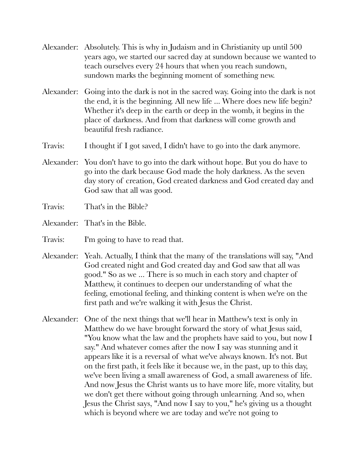- Alexander: Absolutely. This is why in Judaism and in Christianity up until 500 years ago, we started our sacred day at sundown because we wanted to teach ourselves every 24 hours that when you reach sundown, sundown marks the beginning moment of something new.
- Alexander: Going into the dark is not in the sacred way. Going into the dark is not the end, it is the beginning. All new life ... Where does new life begin? Whether it's deep in the earth or deep in the womb, it begins in the place of darkness. And from that darkness will come growth and beautiful fresh radiance.
- Travis: I thought if I got saved, I didn't have to go into the dark anymore.
- Alexander: You don't have to go into the dark without hope. But you do have to go into the dark because God made the holy darkness. As the seven day story of creation, God created darkness and God created day and God saw that all was good.
- Travis: That's in the Bible?
- Alexander: That's in the Bible.
- Travis: I'm going to have to read that.
- Alexander: Yeah. Actually, I think that the many of the translations will say, "And God created night and God created day and God saw that all was good." So as we ... There is so much in each story and chapter of Matthew, it continues to deepen our understanding of what the feeling, emotional feeling, and thinking content is when we're on the first path and we're walking it with Jesus the Christ.
- Alexander: One of the next things that we'll hear in Matthew's text is only in Matthew do we have brought forward the story of what Jesus said, "You know what the law and the prophets have said to you, but now I say." And whatever comes after the now I say was stunning and it appears like it is a reversal of what we've always known. It's not. But on the first path, it feels like it because we, in the past, up to this day, we've been living a small awareness of God, a small awareness of life. And now Jesus the Christ wants us to have more life, more vitality, but we don't get there without going through unlearning. And so, when Jesus the Christ says, "And now I say to you," he's giving us a thought which is beyond where we are today and we're not going to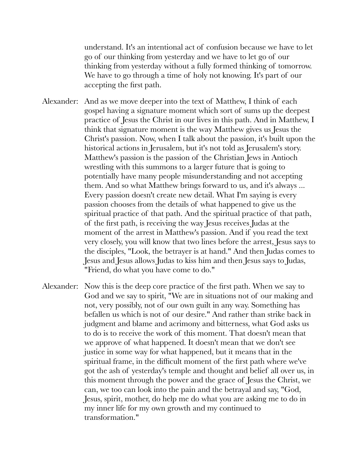understand. It's an intentional act of confusion because we have to let go of our thinking from yesterday and we have to let go of our thinking from yesterday without a fully formed thinking of tomorrow. We have to go through a time of holy not knowing. It's part of our accepting the first path.

- Alexander: And as we move deeper into the text of Matthew, I think of each gospel having a signature moment which sort of sums up the deepest practice of Jesus the Christ in our lives in this path. And in Matthew, I think that signature moment is the way Matthew gives us Jesus the Christ's passion. Now, when I talk about the passion, it's built upon the historical actions in Jerusalem, but it's not told as Jerusalem's story. Matthew's passion is the passion of the Christian Jews in Antioch wrestling with this summons to a larger future that is going to potentially have many people misunderstanding and not accepting them. And so what Matthew brings forward to us, and it's always ... Every passion doesn't create new detail. What I'm saying is every passion chooses from the details of what happened to give us the spiritual practice of that path. And the spiritual practice of that path, of the first path, is receiving the way Jesus receives Judas at the moment of the arrest in Matthew's passion. And if you read the text very closely, you will know that two lines before the arrest, Jesus says to the disciples, "Look, the betrayer is at hand." And then Judas comes to Jesus and Jesus allows Judas to kiss him and then Jesus says to Judas, "Friend, do what you have come to do."
- Alexander: Now this is the deep core practice of the first path. When we say to God and we say to spirit, "We are in situations not of our making and not, very possibly, not of our own guilt in any way. Something has befallen us which is not of our desire." And rather than strike back in judgment and blame and acrimony and bitterness, what God asks us to do is to receive the work of this moment. That doesn't mean that we approve of what happened. It doesn't mean that we don't see justice in some way for what happened, but it means that in the spiritual frame, in the difficult moment of the first path where we've got the ash of yesterday's temple and thought and belief all over us, in this moment through the power and the grace of Jesus the Christ, we can, we too can look into the pain and the betrayal and say, "God, Jesus, spirit, mother, do help me do what you are asking me to do in my inner life for my own growth and my continued to transformation."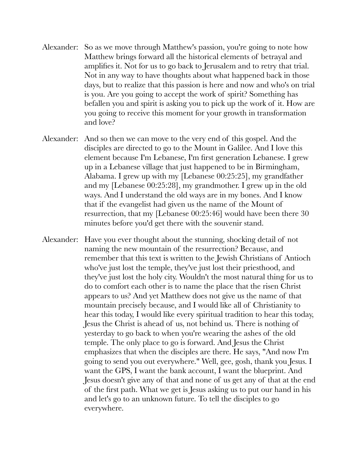- Alexander: So as we move through Matthew's passion, you're going to note how Matthew brings forward all the historical elements of betrayal and amplifies it. Not for us to go back to Jerusalem and to retry that trial. Not in any way to have thoughts about what happened back in those days, but to realize that this passion is here and now and who's on trial is you. Are you going to accept the work of spirit? Something has befallen you and spirit is asking you to pick up the work of it. How are you going to receive this moment for your growth in transformation and love?
- Alexander: And so then we can move to the very end of this gospel. And the disciples are directed to go to the Mount in Galilee. And I love this element because I'm Lebanese, I'm first generation Lebanese. I grew up in a Lebanese village that just happened to be in Birmingham, Alabama. I grew up with my [Lebanese 00:25:25], my grandfather and my [Lebanese 00:25:28], my grandmother. I grew up in the old ways. And I understand the old ways are in my bones. And I know that if the evangelist had given us the name of the Mount of resurrection, that my [Lebanese 00:25:46] would have been there 30 minutes before you'd get there with the souvenir stand.
- Alexander: Have you ever thought about the stunning, shocking detail of not naming the new mountain of the resurrection? Because, and remember that this text is written to the Jewish Christians of Antioch who've just lost the temple, they've just lost their priesthood, and they've just lost the holy city. Wouldn't the most natural thing for us to do to comfort each other is to name the place that the risen Christ appears to us? And yet Matthew does not give us the name of that mountain precisely because, and I would like all of Christianity to hear this today, I would like every spiritual tradition to hear this today, Jesus the Christ is ahead of us, not behind us. There is nothing of yesterday to go back to when you're wearing the ashes of the old temple. The only place to go is forward. And Jesus the Christ emphasizes that when the disciples are there. He says, "And now I'm going to send you out everywhere." Well, gee, gosh, thank you Jesus. I want the GPS, I want the bank account, I want the blueprint. And Jesus doesn't give any of that and none of us get any of that at the end of the first path. What we get is Jesus asking us to put our hand in his and let's go to an unknown future. To tell the disciples to go everywhere.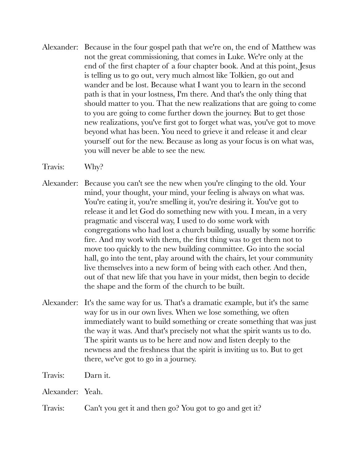- Alexander: Because in the four gospel path that we're on, the end of Matthew was not the great commissioning, that comes in Luke. We're only at the end of the first chapter of a four chapter book. And at this point, Jesus is telling us to go out, very much almost like Tolkien, go out and wander and be lost. Because what I want you to learn in the second path is that in your lostness, I'm there. And that's the only thing that should matter to you. That the new realizations that are going to come to you are going to come further down the journey. But to get those new realizations, you've first got to forget what was, you've got to move beyond what has been. You need to grieve it and release it and clear yourself out for the new. Because as long as your focus is on what was, you will never be able to see the new.
- Travis: Why?
- Alexander: Because you can't see the new when you're clinging to the old. Your mind, your thought, your mind, your feeling is always on what was. You're eating it, you're smelling it, you're desiring it. You've got to release it and let God do something new with you. I mean, in a very pragmatic and visceral way, I used to do some work with congregations who had lost a church building, usually by some horrific fire. And my work with them, the first thing was to get them not to move too quickly to the new building committee. Go into the social hall, go into the tent, play around with the chairs, let your community live themselves into a new form of being with each other. And then, out of that new life that you have in your midst, then begin to decide the shape and the form of the church to be built.
- Alexander: It's the same way for us. That's a dramatic example, but it's the same way for us in our own lives. When we lose something, we often immediately want to build something or create something that was just the way it was. And that's precisely not what the spirit wants us to do. The spirit wants us to be here and now and listen deeply to the newness and the freshness that the spirit is inviting us to. But to get there, we've got to go in a journey.

Travis: Darn it.

Alexander: Yeah.

Travis: Can't you get it and then go? You got to go and get it?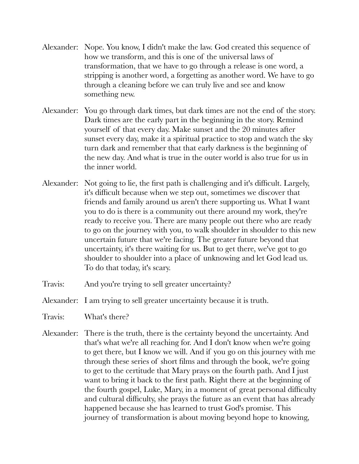- Alexander: Nope. You know, I didn't make the law. God created this sequence of how we transform, and this is one of the universal laws of transformation, that we have to go through a release is one word, a stripping is another word, a forgetting as another word. We have to go through a cleaning before we can truly live and see and know something new.
- Alexander: You go through dark times, but dark times are not the end of the story. Dark times are the early part in the beginning in the story. Remind yourself of that every day. Make sunset and the 20 minutes after sunset every day, make it a spiritual practice to stop and watch the sky turn dark and remember that that early darkness is the beginning of the new day. And what is true in the outer world is also true for us in the inner world.
- Alexander: Not going to lie, the first path is challenging and it's difficult. Largely, it's difficult because when we step out, sometimes we discover that friends and family around us aren't there supporting us. What I want you to do is there is a community out there around my work, they're ready to receive you. There are many people out there who are ready to go on the journey with you, to walk shoulder in shoulder to this new uncertain future that we're facing. The greater future beyond that uncertainty, it's there waiting for us. But to get there, we've got to go shoulder to shoulder into a place of unknowing and let God lead us. To do that today, it's scary.
- Travis: And you're trying to sell greater uncertainty?
- Alexander: I am trying to sell greater uncertainty because it is truth.
- Travis: What's there?
- Alexander: There is the truth, there is the certainty beyond the uncertainty. And that's what we're all reaching for. And I don't know when we're going to get there, but I know we will. And if you go on this journey with me through these series of short films and through the book, we're going to get to the certitude that Mary prays on the fourth path. And I just want to bring it back to the first path. Right there at the beginning of the fourth gospel, Luke, Mary, in a moment of great personal difficulty and cultural difficulty, she prays the future as an event that has already happened because she has learned to trust God's promise. This journey of transformation is about moving beyond hope to knowing,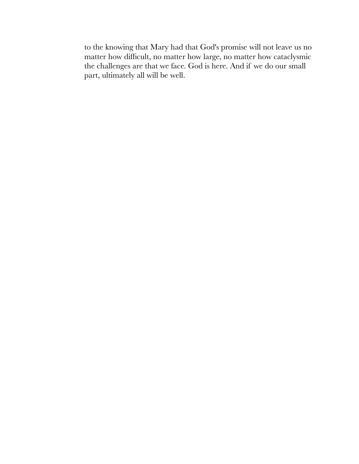to the knowing that Mary had that God's promise will not leave us no matter how difficult, no matter how large, no matter how cataclysmic the challenges are that we face. God is here. And if we do our small part, ultimately all will be well.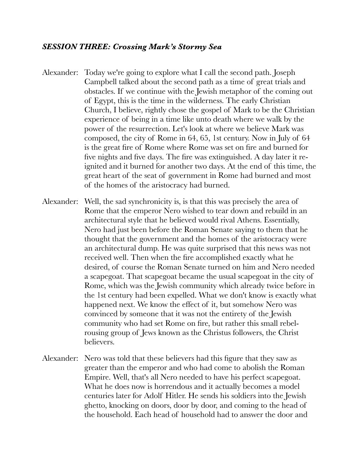## *SESSION THREE: Crossing Mark's Stormy Sea*

- Alexander: Today we're going to explore what I call the second path. Joseph Campbell talked about the second path as a time of great trials and obstacles. If we continue with the Jewish metaphor of the coming out of Egypt, this is the time in the wilderness. The early Christian Church, I believe, rightly chose the gospel of Mark to be the Christian experience of being in a time like unto death where we walk by the power of the resurrection. Let's look at where we believe Mark was composed, the city of Rome in 64, 65, 1st century. Now in July of 64 is the great fire of Rome where Rome was set on fire and burned for five nights and five days. The fire was extinguished. A day later it reignited and it burned for another two days. At the end of this time, the great heart of the seat of government in Rome had burned and most of the homes of the aristocracy had burned.
- Alexander: Well, the sad synchronicity is, is that this was precisely the area of Rome that the emperor Nero wished to tear down and rebuild in an architectural style that he believed would rival Athens. Essentially, Nero had just been before the Roman Senate saying to them that he thought that the government and the homes of the aristocracy were an architectural dump. He was quite surprised that this news was not received well. Then when the fire accomplished exactly what he desired, of course the Roman Senate turned on him and Nero needed a scapegoat. That scapegoat became the usual scapegoat in the city of Rome, which was the Jewish community which already twice before in the 1st century had been expelled. What we don't know is exactly what happened next. We know the effect of it, but somehow Nero was convinced by someone that it was not the entirety of the Jewish community who had set Rome on fire, but rather this small rebelrousing group of Jews known as the Christus followers, the Christ believers.
- Alexander: Nero was told that these believers had this figure that they saw as greater than the emperor and who had come to abolish the Roman Empire. Well, that's all Nero needed to have his perfect scapegoat. What he does now is horrendous and it actually becomes a model centuries later for Adolf Hitler. He sends his soldiers into the Jewish ghetto, knocking on doors, door by door, and coming to the head of the household. Each head of household had to answer the door and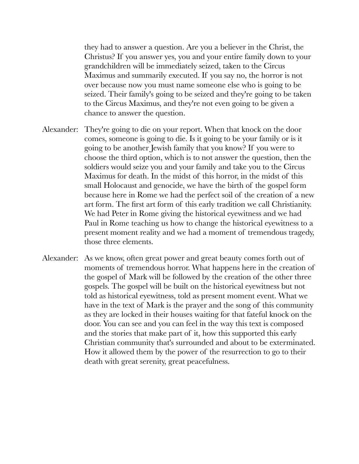they had to answer a question. Are you a believer in the Christ, the Christus? If you answer yes, you and your entire family down to your grandchildren will be immediately seized, taken to the Circus Maximus and summarily executed. If you say no, the horror is not over because now you must name someone else who is going to be seized. Their family's going to be seized and they're going to be taken to the Circus Maximus, and they're not even going to be given a chance to answer the question.

- Alexander: They're going to die on your report. When that knock on the door comes, someone is going to die. Is it going to be your family or is it going to be another Jewish family that you know? If you were to choose the third option, which is to not answer the question, then the soldiers would seize you and your family and take you to the Circus Maximus for death. In the midst of this horror, in the midst of this small Holocaust and genocide, we have the birth of the gospel form because here in Rome we had the perfect soil of the creation of a new art form. The first art form of this early tradition we call Christianity. We had Peter in Rome giving the historical eyewitness and we had Paul in Rome teaching us how to change the historical eyewitness to a present moment reality and we had a moment of tremendous tragedy, those three elements.
- Alexander: As we know, often great power and great beauty comes forth out of moments of tremendous horror. What happens here in the creation of the gospel of Mark will be followed by the creation of the other three gospels. The gospel will be built on the historical eyewitness but not told as historical eyewitness, told as present moment event. What we have in the text of Mark is the prayer and the song of this community as they are locked in their houses waiting for that fateful knock on the door. You can see and you can feel in the way this text is composed and the stories that make part of it, how this supported this early Christian community that's surrounded and about to be exterminated. How it allowed them by the power of the resurrection to go to their death with great serenity, great peacefulness.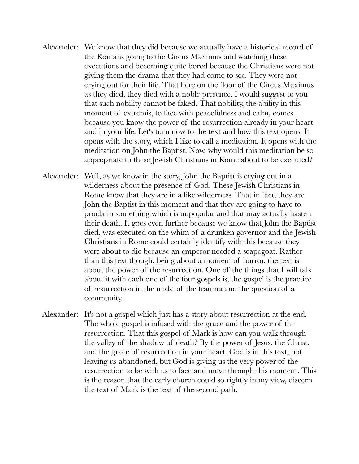- Alexander: We know that they did because we actually have a historical record of the Romans going to the Circus Maximus and watching these executions and becoming quite bored because the Christians were not giving them the drama that they had come to see. They were not crying out for their life. That here on the floor of the Circus Maximus as they died, they died with a noble presence. I would suggest to you that such nobility cannot be faked. That nobility, the ability in this moment of extremis, to face with peacefulness and calm, comes because you know the power of the resurrection already in your heart and in your life. Let's turn now to the text and how this text opens. It opens with the story, which I like to call a meditation. It opens with the meditation on John the Baptist. Now, why would this meditation be so appropriate to these Jewish Christians in Rome about to be executed?
- Alexander: Well, as we know in the story, John the Baptist is crying out in a wilderness about the presence of God. These Jewish Christians in Rome know that they are in a like wilderness. That in fact, they are John the Baptist in this moment and that they are going to have to proclaim something which is unpopular and that may actually hasten their death. It goes even further because we know that John the Baptist died, was executed on the whim of a drunken governor and the Jewish Christians in Rome could certainly identify with this because they were about to die because an emperor needed a scapegoat. Rather than this text though, being about a moment of horror, the text is about the power of the resurrection. One of the things that I will talk about it with each one of the four gospels is, the gospel is the practice of resurrection in the midst of the trauma and the question of a community.
- Alexander: It's not a gospel which just has a story about resurrection at the end. The whole gospel is infused with the grace and the power of the resurrection. That this gospel of Mark is how can you walk through the valley of the shadow of death? By the power of Jesus, the Christ, and the grace of resurrection in your heart. God is in this text, not leaving us abandoned, but God is giving us the very power of the resurrection to be with us to face and move through this moment. This is the reason that the early church could so rightly in my view, discern the text of Mark is the text of the second path.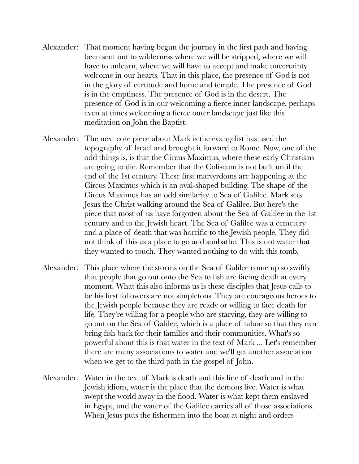- Alexander: That moment having begun the journey in the first path and having been sent out to wilderness where we will be stripped, where we will have to unlearn, where we will have to accept and make uncertainty welcome in our hearts. That in this place, the presence of God is not in the glory of certitude and home and temple. The presence of God is in the emptiness. The presence of God is in the desert. The presence of God is in our welcoming a fierce inner landscape, perhaps even at times welcoming a fierce outer landscape just like this meditation on John the Baptist.
- Alexander: The next core piece about Mark is the evangelist has used the topography of Israel and brought it forward to Rome. Now, one of the odd things is, is that the Circus Maximus, where these early Christians are going to die. Remember that the Coliseum is not built until the end of the 1st century. These first martyrdoms are happening at the Circus Maximus which is an oval-shaped building. The shape of the Circus Maximus has an odd similarity to Sea of Galilee. Mark sets Jesus the Christ walking around the Sea of Galilee. But here's the piece that most of us have forgotten about the Sea of Galilee in the 1st century and to the Jewish heart. The Sea of Galilee was a cemetery and a place of death that was horrific to the Jewish people. They did not think of this as a place to go and sunbathe. This is not water that they wanted to touch. They wanted nothing to do with this tomb.
- Alexander: This place where the storms on the Sea of Galilee come up so swiftly that people that go out onto the Sea to fish are facing death at every moment. What this also informs us is these disciples that Jesus calls to be his first followers are not simpletons. They are courageous heroes to the Jewish people because they are ready or willing to face death for life. They're willing for a people who are starving, they are willing to go out on the Sea of Galilee, which is a place of taboo so that they can bring fish back for their families and their communities. What's so powerful about this is that water in the text of Mark ... Let's remember there are many associations to water and we'll get another association when we get to the third path in the gospel of John.
- Alexander: Water in the text of Mark is death and this line of death and in the Jewish idiom, water is the place that the demons live. Water is what swept the world away in the flood. Water is what kept them enslaved in Egypt, and the water of the Galilee carries all of those associations. When Jesus puts the fishermen into the boat at night and orders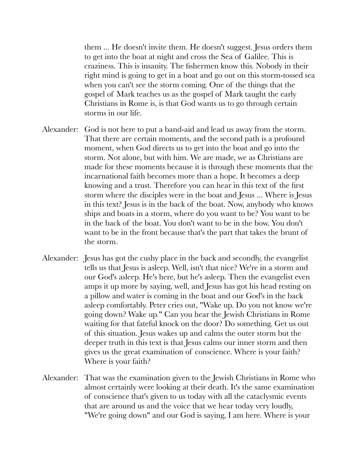them ... He doesn't invite them. He doesn't suggest. Jesus orders them to get into the boat at night and cross the Sea of Galilee. This is craziness. This is insanity. The fishermen know this. Nobody in their right mind is going to get in a boat and go out on this storm-tossed sea when you can't see the storm coming. One of the things that the gospel of Mark teaches us as the gospel of Mark taught the early Christians in Rome is, is that God wants us to go through certain storms in our life.

- Alexander: God is not here to put a band-aid and lead us away from the storm. That there are certain moments, and the second path is a profound moment, when God directs us to get into the boat and go into the storm. Not alone, but with him. We are made, we as Christians are made for these moments because it is through these moments that the incarnational faith becomes more than a hope. It becomes a deep knowing and a trust. Therefore you can hear in this text of the first storm where the disciples were in the boat and Jesus ... Where is Jesus in this text? Jesus is in the back of the boat. Now, anybody who knows ships and boats in a storm, where do you want to be? You want to be in the back of the boat. You don't want to be in the bow. You don't want to be in the front because that's the part that takes the brunt of the storm.
- Alexander: Jesus has got the cushy place in the back and secondly, the evangelist tells us that Jesus is asleep. Well, isn't that nice? We're in a storm and our God's asleep. He's here, but he's asleep. Then the evangelist even amps it up more by saying, well, and Jesus has got his head resting on a pillow and water is coming in the boat and our God's in the back asleep comfortably. Peter cries out, "Wake up. Do you not know we're going down? Wake up." Can you hear the Jewish Christians in Rome waiting for that fateful knock on the door? Do something. Get us out of this situation. Jesus wakes up and calms the outer storm but the deeper truth in this text is that Jesus calms our inner storm and then gives us the great examination of conscience. Where is your faith? Where is your faith?
- Alexander: That was the examination given to the Jewish Christians in Rome who almost certainly were looking at their death. It's the same examination of conscience that's given to us today with all the cataclysmic events that are around us and the voice that we hear today very loudly, "We're going down" and our God is saying, I am here. Where is your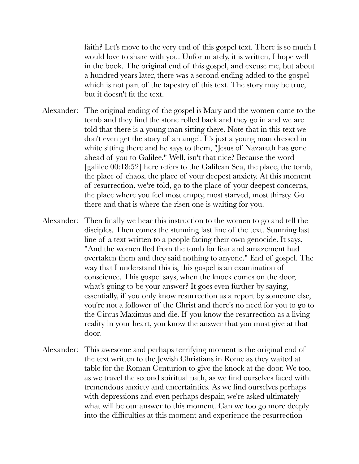faith? Let's move to the very end of this gospel text. There is so much I would love to share with you. Unfortunately, it is written, I hope well in the book. The original end of this gospel, and excuse me, but about a hundred years later, there was a second ending added to the gospel which is not part of the tapestry of this text. The story may be true, but it doesn't fit the text.

- Alexander: The original ending of the gospel is Mary and the women come to the tomb and they find the stone rolled back and they go in and we are told that there is a young man sitting there. Note that in this text we don't even get the story of an angel. It's just a young man dressed in white sitting there and he says to them, "Jesus of Nazareth has gone ahead of you to Galilee." Well, isn't that nice? Because the word [galilee 00:18:52] here refers to the Galilean Sea, the place, the tomb, the place of chaos, the place of your deepest anxiety. At this moment of resurrection, we're told, go to the place of your deepest concerns, the place where you feel most empty, most starved, most thirsty. Go there and that is where the risen one is waiting for you.
- Alexander: Then finally we hear this instruction to the women to go and tell the disciples. Then comes the stunning last line of the text. Stunning last line of a text written to a people facing their own genocide. It says, "And the women fled from the tomb for fear and amazement had overtaken them and they said nothing to anyone." End of gospel. The way that I understand this is, this gospel is an examination of conscience. This gospel says, when the knock comes on the door, what's going to be your answer? It goes even further by saying, essentially, if you only know resurrection as a report by someone else, you're not a follower of the Christ and there's no need for you to go to the Circus Maximus and die. If you know the resurrection as a living reality in your heart, you know the answer that you must give at that door.
- Alexander: This awesome and perhaps terrifying moment is the original end of the text written to the Jewish Christians in Rome as they waited at table for the Roman Centurion to give the knock at the door. We too, as we travel the second spiritual path, as we find ourselves faced with tremendous anxiety and uncertainties. As we find ourselves perhaps with depressions and even perhaps despair, we're asked ultimately what will be our answer to this moment. Can we too go more deeply into the difficulties at this moment and experience the resurrection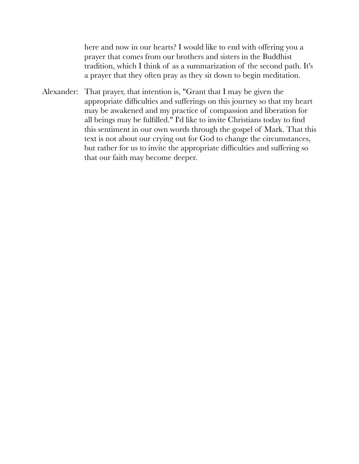here and now in our hearts? I would like to end with offering you a prayer that comes from our brothers and sisters in the Buddhist tradition, which I think of as a summarization of the second path. It's a prayer that they often pray as they sit down to begin meditation.

Alexander: That prayer, that intention is, "Grant that I may be given the appropriate difficulties and sufferings on this journey so that my heart may be awakened and my practice of compassion and liberation for all beings may be fulfilled." I'd like to invite Christians today to find this sentiment in our own words through the gospel of Mark. That this text is not about our crying out for God to change the circumstances, but rather for us to invite the appropriate difficulties and suffering so that our faith may become deeper.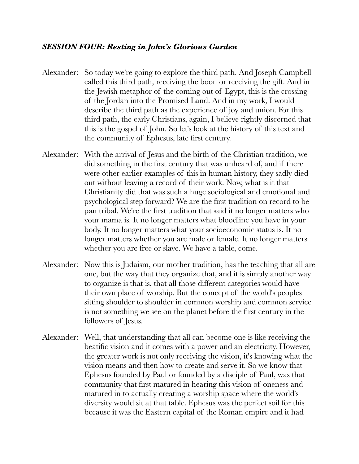## *SESSION FOUR: Resting in John's Glorious Garden*

- Alexander: So today we're going to explore the third path. And Joseph Campbell called this third path, receiving the boon or receiving the gift. And in the Jewish metaphor of the coming out of Egypt, this is the crossing of the Jordan into the Promised Land. And in my work, I would describe the third path as the experience of joy and union. For this third path, the early Christians, again, I believe rightly discerned that this is the gospel of John. So let's look at the history of this text and the community of Ephesus, late first century.
- Alexander: With the arrival of Jesus and the birth of the Christian tradition, we did something in the first century that was unheard of, and if there were other earlier examples of this in human history, they sadly died out without leaving a record of their work. Now, what is it that Christianity did that was such a huge sociological and emotional and psychological step forward? We are the first tradition on record to be pan tribal. We're the first tradition that said it no longer matters who your mama is. It no longer matters what bloodline you have in your body. It no longer matters what your socioeconomic status is. It no longer matters whether you are male or female. It no longer matters whether you are free or slave. We have a table, come.
- Alexander: Now this is Judaism, our mother tradition, has the teaching that all are one, but the way that they organize that, and it is simply another way to organize is that is, that all those different categories would have their own place of worship. But the concept of the world's peoples sitting shoulder to shoulder in common worship and common service is not something we see on the planet before the first century in the followers of Jesus.
- Alexander: Well, that understanding that all can become one is like receiving the beatific vision and it comes with a power and an electricity. However, the greater work is not only receiving the vision, it's knowing what the vision means and then how to create and serve it. So we know that Ephesus founded by Paul or founded by a disciple of Paul, was that community that first matured in hearing this vision of oneness and matured in to actually creating a worship space where the world's diversity would sit at that table. Ephesus was the perfect soil for this because it was the Eastern capital of the Roman empire and it had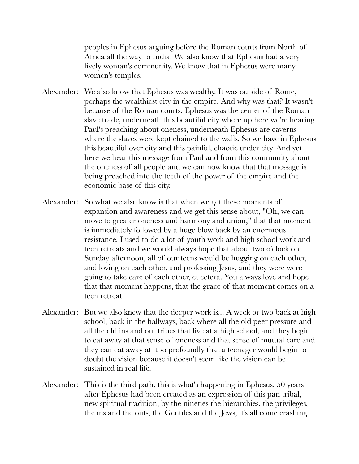peoples in Ephesus arguing before the Roman courts from North of Africa all the way to India. We also know that Ephesus had a very lively woman's community. We know that in Ephesus were many women's temples.

- Alexander: We also know that Ephesus was wealthy. It was outside of Rome, perhaps the wealthiest city in the empire. And why was that? It wasn't because of the Roman courts. Ephesus was the center of the Roman slave trade, underneath this beautiful city where up here we're hearing Paul's preaching about oneness, underneath Ephesus are caverns where the slaves were kept chained to the walls. So we have in Ephesus this beautiful over city and this painful, chaotic under city. And yet here we hear this message from Paul and from this community about the oneness of all people and we can now know that that message is being preached into the teeth of the power of the empire and the economic base of this city.
- Alexander: So what we also know is that when we get these moments of expansion and awareness and we get this sense about, "Oh, we can move to greater oneness and harmony and union," that that moment is immediately followed by a huge blow back by an enormous resistance. I used to do a lot of youth work and high school work and teen retreats and we would always hope that about two o'clock on Sunday afternoon, all of our teens would be hugging on each other, and loving on each other, and professing Jesus, and they were were going to take care of each other, et cetera. You always love and hope that that moment happens, that the grace of that moment comes on a teen retreat.
- Alexander: But we also knew that the deeper work is... A week or two back at high school, back in the hallways, back where all the old peer pressure and all the old ins and out tribes that live at a high school, and they begin to eat away at that sense of oneness and that sense of mutual care and they can eat away at it so profoundly that a teenager would begin to doubt the vision because it doesn't seem like the vision can be sustained in real life.
- Alexander: This is the third path, this is what's happening in Ephesus. 50 years after Ephesus had been created as an expression of this pan tribal, new spiritual tradition, by the nineties the hierarchies, the privileges, the ins and the outs, the Gentiles and the Jews, it's all come crashing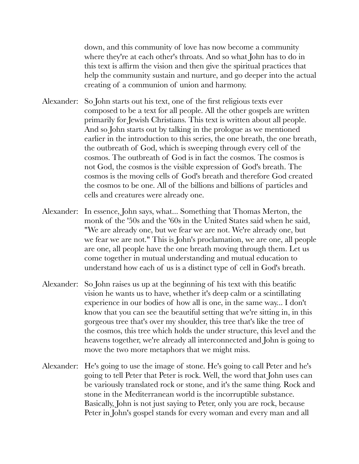down, and this community of love has now become a community where they're at each other's throats. And so what John has to do in this text is affirm the vision and then give the spiritual practices that help the community sustain and nurture, and go deeper into the actual creating of a communion of union and harmony.

- Alexander: So John starts out his text, one of the first religious texts ever composed to be a text for all people. All the other gospels are written primarily for Jewish Christians. This text is written about all people. And so John starts out by talking in the prologue as we mentioned earlier in the introduction to this series, the one breath, the one breath, the outbreath of God, which is sweeping through every cell of the cosmos. The outbreath of God is in fact the cosmos. The cosmos is not God, the cosmos is the visible expression of God's breath. The cosmos is the moving cells of God's breath and therefore God created the cosmos to be one. All of the billions and billions of particles and cells and creatures were already one.
- Alexander: In essence, John says, what... Something that Thomas Merton, the monk of the '50s and the '60s in the United States said when he said, "We are already one, but we fear we are not. We're already one, but we fear we are not." This is John's proclamation, we are one, all people are one, all people have the one breath moving through them. Let us come together in mutual understanding and mutual education to understand how each of us is a distinct type of cell in God's breath.
- Alexander: So John raises us up at the beginning of his text with this beatific vision he wants us to have, whether it's deep calm or a scintillating experience in our bodies of how all is one, in the same way... I don't know that you can see the beautiful setting that we're sitting in, in this gorgeous tree that's over my shoulder, this tree that's like the tree of the cosmos, this tree which holds the under structure, this level and the heavens together, we're already all interconnected and John is going to move the two more metaphors that we might miss.
- Alexander: He's going to use the image of stone. He's going to call Peter and he's going to tell Peter that Peter is rock. Well, the word that John uses can be variously translated rock or stone, and it's the same thing. Rock and stone in the Mediterranean world is the incorruptible substance. Basically, John is not just saying to Peter, only you are rock, because Peter in John's gospel stands for every woman and every man and all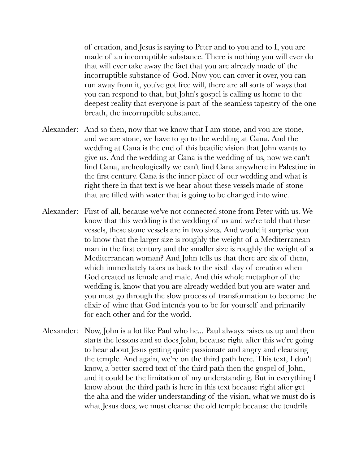of creation, and Jesus is saying to Peter and to you and to I, you are made of an incorruptible substance. There is nothing you will ever do that will ever take away the fact that you are already made of the incorruptible substance of God. Now you can cover it over, you can run away from it, you've got free will, there are all sorts of ways that you can respond to that, but John's gospel is calling us home to the deepest reality that everyone is part of the seamless tapestry of the one breath, the incorruptible substance.

- Alexander: And so then, now that we know that I am stone, and you are stone, and we are stone, we have to go to the wedding at Cana. And the wedding at Cana is the end of this beatific vision that John wants to give us. And the wedding at Cana is the wedding of us, now we can't find Cana, archeologically we can't find Cana anywhere in Palestine in the first century. Cana is the inner place of our wedding and what is right there in that text is we hear about these vessels made of stone that are filled with water that is going to be changed into wine.
- Alexander: First of all, because we've not connected stone from Peter with us. We know that this wedding is the wedding of us and we're told that these vessels, these stone vessels are in two sizes. And would it surprise you to know that the larger size is roughly the weight of a Mediterranean man in the first century and the smaller size is roughly the weight of a Mediterranean woman? And John tells us that there are six of them, which immediately takes us back to the sixth day of creation when God created us female and male. And this whole metaphor of the wedding is, know that you are already wedded but you are water and you must go through the slow process of transformation to become the elixir of wine that God intends you to be for yourself and primarily for each other and for the world.
- Alexander: Now, John is a lot like Paul who he... Paul always raises us up and then starts the lessons and so does John, because right after this we're going to hear about Jesus getting quite passionate and angry and cleansing the temple. And again, we're on the third path here. This text, I don't know, a better sacred text of the third path then the gospel of John, and it could be the limitation of my understanding. But in everything I know about the third path is here in this text because right after get the aha and the wider understanding of the vision, what we must do is what Jesus does, we must cleanse the old temple because the tendrils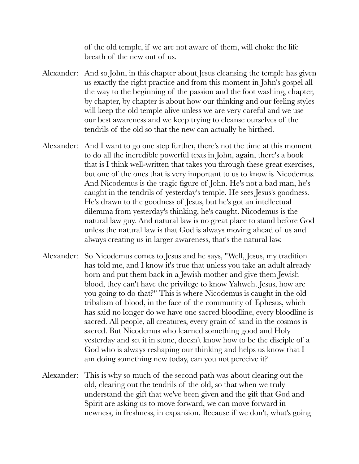of the old temple, if we are not aware of them, will choke the life breath of the new out of us.

- Alexander: And so John, in this chapter about Jesus cleansing the temple has given us exactly the right practice and from this moment in John's gospel all the way to the beginning of the passion and the foot washing, chapter, by chapter, by chapter is about how our thinking and our feeling styles will keep the old temple alive unless we are very careful and we use our best awareness and we keep trying to cleanse ourselves of the tendrils of the old so that the new can actually be birthed.
- Alexander: And I want to go one step further, there's not the time at this moment to do all the incredible powerful texts in John, again, there's a book that is I think well-written that takes you through these great exercises, but one of the ones that is very important to us to know is Nicodemus. And Nicodemus is the tragic figure of John. He's not a bad man, he's caught in the tendrils of yesterday's temple. He sees Jesus's goodness. He's drawn to the goodness of Jesus, but he's got an intellectual dilemma from yesterday's thinking, he's caught. Nicodemus is the natural law guy. And natural law is no great place to stand before God unless the natural law is that God is always moving ahead of us and always creating us in larger awareness, that's the natural law.
- Alexander: So Nicodemus comes to Jesus and he says, "Well, Jesus, my tradition has told me, and I know it's true that unless you take an adult already born and put them back in a Jewish mother and give them Jewish blood, they can't have the privilege to know Yahweh. Jesus, how are you going to do that?" This is where Nicodemus is caught in the old tribalism of blood, in the face of the community of Ephesus, which has said no longer do we have one sacred bloodline, every bloodline is sacred. All people, all creatures, every grain of sand in the cosmos is sacred. But Nicodemus who learned something good and Holy yesterday and set it in stone, doesn't know how to be the disciple of a God who is always reshaping our thinking and helps us know that I am doing something new today, can you not perceive it?
- Alexander: This is why so much of the second path was about clearing out the old, clearing out the tendrils of the old, so that when we truly understand the gift that we've been given and the gift that God and Spirit are asking us to move forward, we can move forward in newness, in freshness, in expansion. Because if we don't, what's going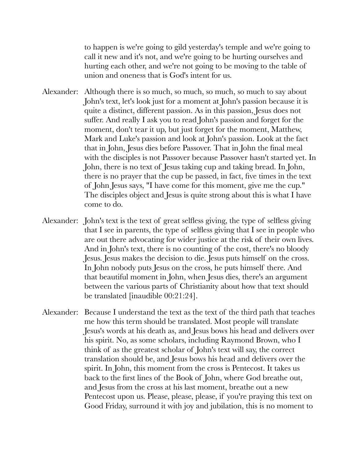to happen is we're going to gild yesterday's temple and we're going to call it new and it's not, and we're going to be hurting ourselves and hurting each other, and we're not going to be moving to the table of union and oneness that is God's intent for us.

- Alexander: Although there is so much, so much, so much, so much to say about John's text, let's look just for a moment at John's passion because it is quite a distinct, different passion. As in this passion, Jesus does not suffer. And really I ask you to read John's passion and forget for the moment, don't tear it up, but just forget for the moment, Matthew, Mark and Luke's passion and look at John's passion. Look at the fact that in John, Jesus dies before Passover. That in John the final meal with the disciples is not Passover because Passover hasn't started yet. In John, there is no text of Jesus taking cup and taking bread. In John, there is no prayer that the cup be passed, in fact, five times in the text of John Jesus says, "I have come for this moment, give me the cup." The disciples object and Jesus is quite strong about this is what I have come to do.
- Alexander: John's text is the text of great selfless giving, the type of selfless giving that I see in parents, the type of selfless giving that I see in people who are out there advocating for wider justice at the risk of their own lives. And in John's text, there is no counting of the cost, there's no bloody Jesus. Jesus makes the decision to die. Jesus puts himself on the cross. In John nobody puts Jesus on the cross, he puts himself there. And that beautiful moment in John, when Jesus dies, there's an argument between the various parts of Christianity about how that text should be translated [inaudible 00:21:24].
- Alexander: Because I understand the text as the text of the third path that teaches me how this term should be translated. Most people will translate Jesus's words at his death as, and Jesus bows his head and delivers over his spirit. No, as some scholars, including Raymond Brown, who I think of as the greatest scholar of John's text will say, the correct translation should be, and Jesus bows his head and delivers over the spirit. In John, this moment from the cross is Pentecost. It takes us back to the first lines of the Book of John, where God breathe out, and Jesus from the cross at his last moment, breathe out a new Pentecost upon us. Please, please, please, if you're praying this text on Good Friday, surround it with joy and jubilation, this is no moment to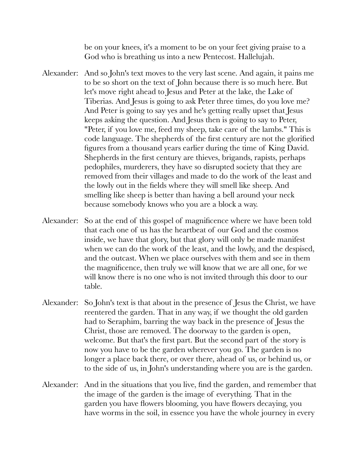be on your knees, it's a moment to be on your feet giving praise to a God who is breathing us into a new Pentecost. Hallelujah.

- Alexander: And so John's text moves to the very last scene. And again, it pains me to be so short on the text of John because there is so much here. But let's move right ahead to Jesus and Peter at the lake, the Lake of Tiberias. And Jesus is going to ask Peter three times, do you love me? And Peter is going to say yes and he's getting really upset that Jesus keeps asking the question. And Jesus then is going to say to Peter, "Peter, if you love me, feed my sheep, take care of the lambs." This is code language. The shepherds of the first century are not the glorified figures from a thousand years earlier during the time of King David. Shepherds in the first century are thieves, brigands, rapists, perhaps pedophiles, murderers, they have so disrupted society that they are removed from their villages and made to do the work of the least and the lowly out in the fields where they will smell like sheep. And smelling like sheep is better than having a bell around your neck because somebody knows who you are a block a way.
- Alexander: So at the end of this gospel of magnificence where we have been told that each one of us has the heartbeat of our God and the cosmos inside, we have that glory, but that glory will only be made manifest when we can do the work of the least, and the lowly, and the despised, and the outcast. When we place ourselves with them and see in them the magnificence, then truly we will know that we are all one, for we will know there is no one who is not invited through this door to our table.
- Alexander: So John's text is that about in the presence of Jesus the Christ, we have reentered the garden. That in any way, if we thought the old garden had to Seraphim, barring the way back in the presence of Jesus the Christ, those are removed. The doorway to the garden is open, welcome. But that's the first part. But the second part of the story is now you have to be the garden wherever you go. The garden is no longer a place back there, or over there, ahead of us, or behind us, or to the side of us, in John's understanding where you are is the garden.
- Alexander: And in the situations that you live, find the garden, and remember that the image of the garden is the image of everything. That in the garden you have flowers blooming, you have flowers decaying, you have worms in the soil, in essence you have the whole journey in every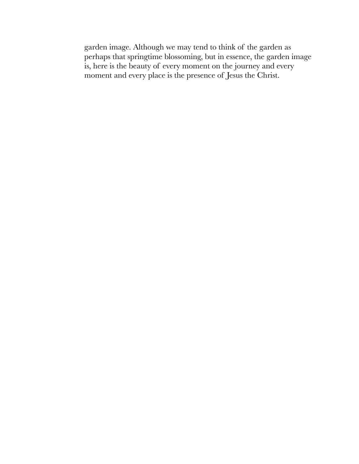garden image. Although we may tend to think of the garden as perhaps that springtime blossoming, but in essence, the garden image is, here is the beauty of every moment on the journey and every moment and every place is the presence of Jesus the Christ.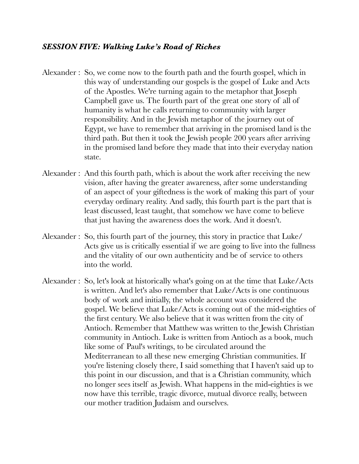## *SESSION FIVE: Walking Luke's Road of Riches*

- Alexander : So, we come now to the fourth path and the fourth gospel, which in this way of understanding our gospels is the gospel of Luke and Acts of the Apostles. We're turning again to the metaphor that Joseph Campbell gave us. The fourth part of the great one story of all of humanity is what he calls returning to community with larger responsibility. And in the Jewish metaphor of the journey out of Egypt, we have to remember that arriving in the promised land is the third path. But then it took the Jewish people 200 years after arriving in the promised land before they made that into their everyday nation state.
- Alexander : And this fourth path, which is about the work after receiving the new vision, after having the greater awareness, after some understanding of an aspect of your giftedness is the work of making this part of your everyday ordinary reality. And sadly, this fourth part is the part that is least discussed, least taught, that somehow we have come to believe that just having the awareness does the work. And it doesn't.
- Alexander : So, this fourth part of the journey, this story in practice that Luke/ Acts give us is critically essential if we are going to live into the fullness and the vitality of our own authenticity and be of service to others into the world.
- Alexander : So, let's look at historically what's going on at the time that Luke/Acts is written. And let's also remember that Luke/Acts is one continuous body of work and initially, the whole account was considered the gospel. We believe that Luke/Acts is coming out of the mid-eighties of the first century. We also believe that it was written from the city of Antioch. Remember that Matthew was written to the Jewish Christian community in Antioch. Luke is written from Antioch as a book, much like some of Paul's writings, to be circulated around the Mediterranean to all these new emerging Christian communities. If you're listening closely there, I said something that I haven't said up to this point in our discussion, and that is a Christian community, which no longer sees itself as Jewish. What happens in the mid-eighties is we now have this terrible, tragic divorce, mutual divorce really, between our mother tradition Judaism and ourselves.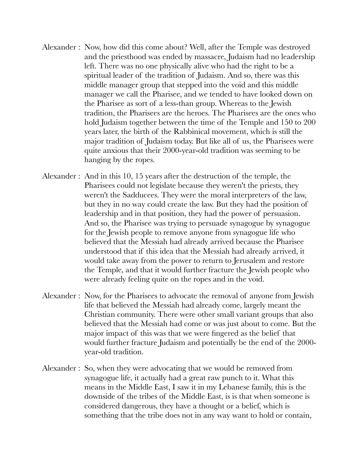- Alexander : Now, how did this come about? Well, after the Temple was destroyed and the priesthood was ended by massacre, Judaism had no leadership left. There was no one physically alive who had the right to be a spiritual leader of the tradition of Judaism. And so, there was this middle manager group that stepped into the void and this middle manager we call the Pharisee, and we tended to have looked down on the Pharisee as sort of a less-than group. Whereas to the Jewish tradition, the Pharisees are the heroes. The Pharisees are the ones who hold Judaism together between the time of the Temple and 150 to 200 years later, the birth of the Rabbinical movement, which is still the major tradition of Judaism today. But like all of us, the Pharisees were quite anxious that their 2000-year-old tradition was seeming to be hanging by the ropes.
- Alexander : And in this 10, 15 years after the destruction of the temple, the Pharisees could not legislate because they weren't the priests, they weren't the Sadducees. They were the moral interpreters of the law, but they in no way could create the law. But they had the position of leadership and in that position, they had the power of persuasion. And so, the Pharisee was trying to persuade synagogue by synagogue for the Jewish people to remove anyone from synagogue life who believed that the Messiah had already arrived because the Pharisee understood that if this idea that the Messiah had already arrived, it would take away from the power to return to Jerusalem and restore the Temple, and that it would further fracture the Jewish people who were already feeling quite on the ropes and in the void.
- Alexander : Now, for the Pharisees to advocate the removal of anyone from Jewish life that believed the Messiah had already come, largely meant the Christian community. There were other small variant groups that also believed that the Messiah had come or was just about to come. But the major impact of this was that we were fingered as the belief that would further fracture Judaism and potentially be the end of the 2000 year-old tradition.
- Alexander : So, when they were advocating that we would be removed from synagogue life, it actually had a great raw punch to it. What this means in the Middle East, I saw it in my Lebanese family, this is the downside of the tribes of the Middle East, is is that when someone is considered dangerous, they have a thought or a belief, which is something that the tribe does not in any way want to hold or contain,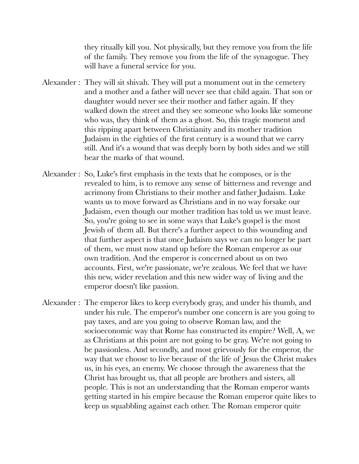they ritually kill you. Not physically, but they remove you from the life of the family. They remove you from the life of the synagogue. They will have a funeral service for you.

- Alexander : They will sit shivah. They will put a monument out in the cemetery and a mother and a father will never see that child again. That son or daughter would never see their mother and father again. If they walked down the street and they see someone who looks like someone who was, they think of them as a ghost. So, this tragic moment and this ripping apart between Christianity and its mother tradition Judaism in the eighties of the first century is a wound that we carry still. And it's a wound that was deeply born by both sides and we still bear the marks of that wound.
- Alexander : So, Luke's first emphasis in the texts that he composes, or is the revealed to him, is to remove any sense of bitterness and revenge and acrimony from Christians to their mother and father Judaism. Luke wants us to move forward as Christians and in no way forsake our Judaism, even though our mother tradition has told us we must leave. So, you're going to see in some ways that Luke's gospel is the most Jewish of them all. But there's a further aspect to this wounding and that further aspect is that once Judaism says we can no longer be part of them, we must now stand up before the Roman emperor as our own tradition. And the emperor is concerned about us on two accounts. First, we're passionate, we're zealous. We feel that we have this new, wider revelation and this new wider way of living and the emperor doesn't like passion.
- Alexander : The emperor likes to keep everybody gray, and under his thumb, and under his rule. The emperor's number one concern is are you going to pay taxes, and are you going to observe Roman law, and the socioeconomic way that Rome has constructed its empire? Well, A, we as Christians at this point are not going to be gray. We're not going to be passionless. And secondly, and most grievously for the emperor, the way that we choose to live because of the life of Jesus the Christ makes us, in his eyes, an enemy. We choose through the awareness that the Christ has brought us, that all people are brothers and sisters, all people. This is not an understanding that the Roman emperor wants getting started in his empire because the Roman emperor quite likes to keep us squabbling against each other. The Roman emperor quite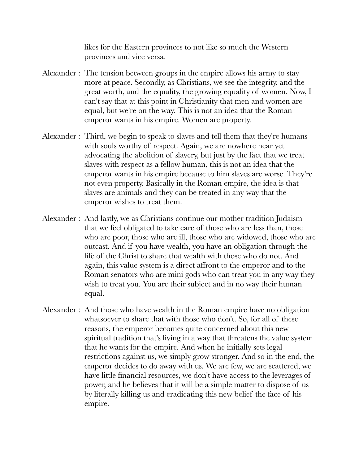likes for the Eastern provinces to not like so much the Western provinces and vice versa.

- Alexander : The tension between groups in the empire allows his army to stay more at peace. Secondly, as Christians, we see the integrity, and the great worth, and the equality, the growing equality of women. Now, I can't say that at this point in Christianity that men and women are equal, but we're on the way. This is not an idea that the Roman emperor wants in his empire. Women are property.
- Alexander : Third, we begin to speak to slaves and tell them that they're humans with souls worthy of respect. Again, we are nowhere near yet advocating the abolition of slavery, but just by the fact that we treat slaves with respect as a fellow human, this is not an idea that the emperor wants in his empire because to him slaves are worse. They're not even property. Basically in the Roman empire, the idea is that slaves are animals and they can be treated in any way that the emperor wishes to treat them.
- Alexander : And lastly, we as Christians continue our mother tradition Judaism that we feel obligated to take care of those who are less than, those who are poor, those who are ill, those who are widowed, those who are outcast. And if you have wealth, you have an obligation through the life of the Christ to share that wealth with those who do not. And again, this value system is a direct affront to the emperor and to the Roman senators who are mini gods who can treat you in any way they wish to treat you. You are their subject and in no way their human equal.
- Alexander : And those who have wealth in the Roman empire have no obligation whatsoever to share that with those who don't. So, for all of these reasons, the emperor becomes quite concerned about this new spiritual tradition that's living in a way that threatens the value system that he wants for the empire. And when he initially sets legal restrictions against us, we simply grow stronger. And so in the end, the emperor decides to do away with us. We are few, we are scattered, we have little financial resources, we don't have access to the leverages of power, and he believes that it will be a simple matter to dispose of us by literally killing us and eradicating this new belief the face of his empire.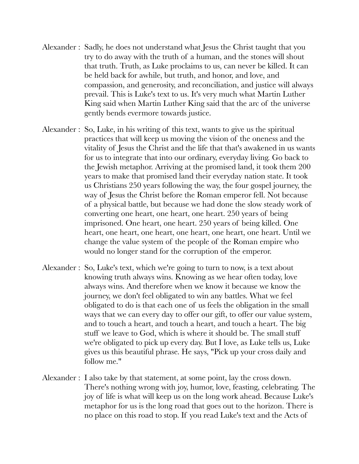- Alexander : Sadly, he does not understand what Jesus the Christ taught that you try to do away with the truth of a human, and the stones will shout that truth. Truth, as Luke proclaims to us, can never be killed. It can be held back for awhile, but truth, and honor, and love, and compassion, and generosity, and reconciliation, and justice will always prevail. This is Luke's text to us. It's very much what Martin Luther King said when Martin Luther King said that the arc of the universe gently bends evermore towards justice.
- Alexander : So, Luke, in his writing of this text, wants to give us the spiritual practices that will keep us moving the vision of the oneness and the vitality of Jesus the Christ and the life that that's awakened in us wants for us to integrate that into our ordinary, everyday living. Go back to the Jewish metaphor. Arriving at the promised land, it took them 200 years to make that promised land their everyday nation state. It took us Christians 250 years following the way, the four gospel journey, the way of Jesus the Christ before the Roman emperor fell. Not because of a physical battle, but because we had done the slow steady work of converting one heart, one heart, one heart. 250 years of being imprisoned. One heart, one heart. 250 years of being killed. One heart, one heart, one heart, one heart, one heart, one heart. Until we change the value system of the people of the Roman empire who would no longer stand for the corruption of the emperor.
- Alexander : So, Luke's text, which we're going to turn to now, is a text about knowing truth always wins. Knowing as we hear often today, love always wins. And therefore when we know it because we know the journey, we don't feel obligated to win any battles. What we feel obligated to do is that each one of us feels the obligation in the small ways that we can every day to offer our gift, to offer our value system, and to touch a heart, and touch a heart, and touch a heart. The big stuff we leave to God, which is where it should be. The small stuff we're obligated to pick up every day. But I love, as Luke tells us, Luke gives us this beautiful phrase. He says, "Pick up your cross daily and follow me."
- Alexander : I also take by that statement, at some point, lay the cross down. There's nothing wrong with joy, humor, love, feasting, celebrating. The joy of life is what will keep us on the long work ahead. Because Luke's metaphor for us is the long road that goes out to the horizon. There is no place on this road to stop. If you read Luke's text and the Acts of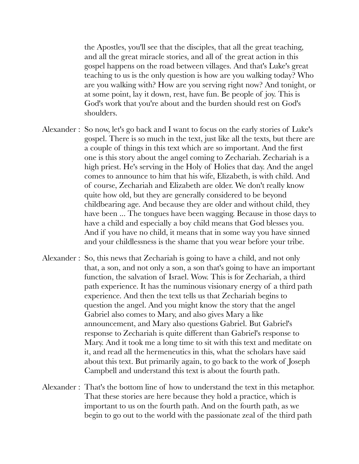the Apostles, you'll see that the disciples, that all the great teaching, and all the great miracle stories, and all of the great action in this gospel happens on the road between villages. And that's Luke's great teaching to us is the only question is how are you walking today? Who are you walking with? How are you serving right now? And tonight, or at some point, lay it down, rest, have fun. Be people of joy. This is God's work that you're about and the burden should rest on God's shoulders.

- Alexander : So now, let's go back and I want to focus on the early stories of Luke's gospel. There is so much in the text, just like all the texts, but there are a couple of things in this text which are so important. And the first one is this story about the angel coming to Zechariah. Zechariah is a high priest. He's serving in the Holy of Holies that day. And the angel comes to announce to him that his wife, Elizabeth, is with child. And of course, Zechariah and Elizabeth are older. We don't really know quite how old, but they are generally considered to be beyond childbearing age. And because they are older and without child, they have been ... The tongues have been wagging. Because in those days to have a child and especially a boy child means that God blesses you. And if you have no child, it means that in some way you have sinned and your childlessness is the shame that you wear before your tribe.
- Alexander : So, this news that Zechariah is going to have a child, and not only that, a son, and not only a son, a son that's going to have an important function, the salvation of Israel. Wow. This is for Zechariah, a third path experience. It has the numinous visionary energy of a third path experience. And then the text tells us that Zechariah begins to question the angel. And you might know the story that the angel Gabriel also comes to Mary, and also gives Mary a like announcement, and Mary also questions Gabriel. But Gabriel's response to Zechariah is quite different than Gabriel's response to Mary. And it took me a long time to sit with this text and meditate on it, and read all the hermeneutics in this, what the scholars have said about this text. But primarily again, to go back to the work of Joseph Campbell and understand this text is about the fourth path.
- Alexander : That's the bottom line of how to understand the text in this metaphor. That these stories are here because they hold a practice, which is important to us on the fourth path. And on the fourth path, as we begin to go out to the world with the passionate zeal of the third path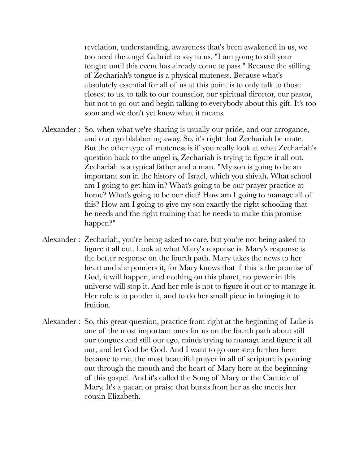revelation, understanding, awareness that's been awakened in us, we too need the angel Gabriel to say to us, "I am going to still your tongue until this event has already come to pass." Because the stilling of Zechariah's tongue is a physical muteness. Because what's absolutely essential for all of us at this point is to only talk to those closest to us, to talk to our counselor, our spiritual director, our pastor, but not to go out and begin talking to everybody about this gift. It's too soon and we don't yet know what it means.

- Alexander : So, when what we're sharing is usually our pride, and our arrogance, and our ego blabbering away. So, it's right that Zechariah be mute. But the other type of muteness is if you really look at what Zechariah's question back to the angel is, Zechariah is trying to figure it all out. Zechariah is a typical father and a man. "My son is going to be an important son in the history of Israel, which you shivah. What school am I going to get him in? What's going to be our prayer practice at home? What's going to be our diet? How am I going to manage all of this? How am I going to give my son exactly the right schooling that he needs and the right training that he needs to make this promise happen?"
- Alexander : Zechariah, you're being asked to care, but you're not being asked to figure it all out. Look at what Mary's response is. Mary's response is the better response on the fourth path. Mary takes the news to her heart and she ponders it, for Mary knows that if this is the promise of God, it will happen, and nothing on this planet, no power in this universe will stop it. And her role is not to figure it out or to manage it. Her role is to ponder it, and to do her small piece in bringing it to fruition.
- Alexander : So, this great question, practice from right at the beginning of Luke is one of the most important ones for us on the fourth path about still our tongues and still our ego, minds trying to manage and figure it all out, and let God be God. And I want to go one step further here because to me, the most beautiful prayer in all of scripture is pouring out through the mouth and the heart of Mary here at the beginning of this gospel. And it's called the Song of Mary or the Canticle of Mary. It's a paean or praise that bursts from her as she meets her cousin Elizabeth.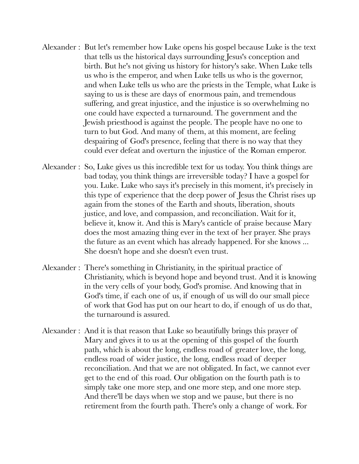- Alexander : But let's remember how Luke opens his gospel because Luke is the text that tells us the historical days surrounding Jesus's conception and birth. But he's not giving us history for history's sake. When Luke tells us who is the emperor, and when Luke tells us who is the governor, and when Luke tells us who are the priests in the Temple, what Luke is saying to us is these are days of enormous pain, and tremendous suffering, and great injustice, and the injustice is so overwhelming no one could have expected a turnaround. The government and the Jewish priesthood is against the people. The people have no one to turn to but God. And many of them, at this moment, are feeling despairing of God's presence, feeling that there is no way that they could ever defeat and overturn the injustice of the Roman emperor.
- Alexander : So, Luke gives us this incredible text for us today. You think things are bad today, you think things are irreversible today? I have a gospel for you. Luke. Luke who says it's precisely in this moment, it's precisely in this type of experience that the deep power of Jesus the Christ rises up again from the stones of the Earth and shouts, liberation, shouts justice, and love, and compassion, and reconciliation. Wait for it, believe it, know it. And this is Mary's canticle of praise because Mary does the most amazing thing ever in the text of her prayer. She prays the future as an event which has already happened. For she knows ... She doesn't hope and she doesn't even trust.
- Alexander : There's something in Christianity, in the spiritual practice of Christianity, which is beyond hope and beyond trust. And it is knowing in the very cells of your body, God's promise. And knowing that in God's time, if each one of us, if enough of us will do our small piece of work that God has put on our heart to do, if enough of us do that, the turnaround is assured.
- Alexander : And it is that reason that Luke so beautifully brings this prayer of Mary and gives it to us at the opening of this gospel of the fourth path, which is about the long, endless road of greater love, the long, endless road of wider justice, the long, endless road of deeper reconciliation. And that we are not obligated. In fact, we cannot ever get to the end of this road. Our obligation on the fourth path is to simply take one more step, and one more step, and one more step. And there'll be days when we stop and we pause, but there is no retirement from the fourth path. There's only a change of work. For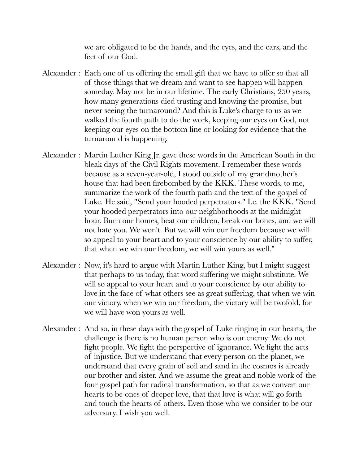we are obligated to be the hands, and the eyes, and the ears, and the feet of our God.

- Alexander : Each one of us offering the small gift that we have to offer so that all of those things that we dream and want to see happen will happen someday. May not be in our lifetime. The early Christians, 250 years, how many generations died trusting and knowing the promise, but never seeing the turnaround? And this is Luke's charge to us as we walked the fourth path to do the work, keeping our eyes on God, not keeping our eyes on the bottom line or looking for evidence that the turnaround is happening.
- Alexander : Martin Luther King Jr. gave these words in the American South in the bleak days of the Civil Rights movement. I remember these words because as a seven-year-old, I stood outside of my grandmother's house that had been firebombed by the KKK. These words, to me, summarize the work of the fourth path and the text of the gospel of Luke. He said, "Send your hooded perpetrators." I.e. the KKK. "Send your hooded perpetrators into our neighborhoods at the midnight hour. Burn our homes, beat our children, break our bones, and we will not hate you. We won't. But we will win our freedom because we will so appeal to your heart and to your conscience by our ability to suffer, that when we win our freedom, we will win yours as well."
- Alexander : Now, it's hard to argue with Martin Luther King, but I might suggest that perhaps to us today, that word suffering we might substitute. We will so appeal to your heart and to your conscience by our ability to love in the face of what others see as great suffering, that when we win our victory, when we win our freedom, the victory will be twofold, for we will have won yours as well.
- Alexander : And so, in these days with the gospel of Luke ringing in our hearts, the challenge is there is no human person who is our enemy. We do not fight people. We fight the perspective of ignorance. We fight the acts of injustice. But we understand that every person on the planet, we understand that every grain of soil and sand in the cosmos is already our brother and sister. And we assume the great and noble work of the four gospel path for radical transformation, so that as we convert our hearts to be ones of deeper love, that that love is what will go forth and touch the hearts of others. Even those who we consider to be our adversary. I wish you well.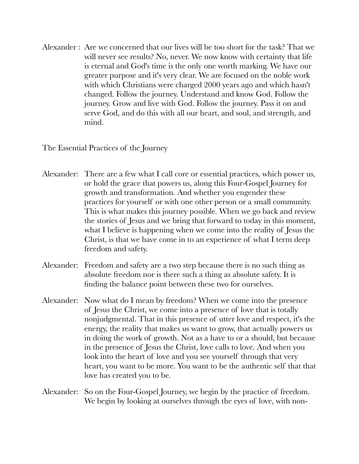Alexander : Are we concerned that our lives will be too short for the task? That we will never see results? No, never. We now know with certainty that life is eternal and God's time is the only one worth marking. We have our greater purpose and it's very clear. We are focused on the noble work with which Christians were charged 2000 years ago and which hasn't changed. Follow the journey. Understand and know God. Follow the journey. Grow and live with God. Follow the journey. Pass it on and serve God, and do this with all our heart, and soul, and strength, and mind.

The Essential Practices of the Journey

- Alexander: There are a few what I call core or essential practices, which power us, or hold the grace that powers us, along this Four-Gospel Journey for growth and transformation. And whether you engender these practices for yourself or with one other person or a small community. This is what makes this journey possible. When we go back and review the stories of Jesus and we bring that forward to today in this moment, what I believe is happening when we come into the reality of Jesus the Christ, is that we have come in to an experience of what I term deep freedom and safety.
- Alexander: Freedom and safety are a two step because there is no such thing as absolute freedom nor is there such a thing as absolute safety. It is finding the balance point between these two for ourselves.
- Alexander: Now what do I mean by freedom? When we come into the presence of Jesus the Christ, we come into a presence of love that is totally nonjudgmental. That in this presence of utter love and respect, it's the energy, the reality that makes us want to grow, that actually powers us in doing the work of growth. Not as a have to or a should, but because in the presence of Jesus the Christ, love calls to love. And when you look into the heart of love and you see yourself through that very heart, you want to be more. You want to be the authentic self that that love has created you to be.
- Alexander: So on the Four-Gospel Journey, we begin by the practice of freedom. We begin by looking at ourselves through the eyes of love, with non-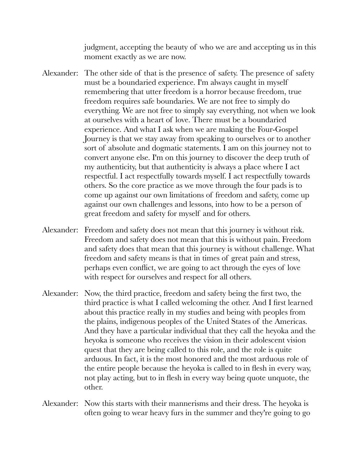judgment, accepting the beauty of who we are and accepting us in this moment exactly as we are now.

- Alexander: The other side of that is the presence of safety. The presence of safety must be a boundaried experience. I'm always caught in myself remembering that utter freedom is a horror because freedom, true freedom requires safe boundaries. We are not free to simply do everything. We are not free to simply say everything, not when we look at ourselves with a heart of love. There must be a boundaried experience. And what I ask when we are making the Four-Gospel Journey is that we stay away from speaking to ourselves or to another sort of absolute and dogmatic statements. I am on this journey not to convert anyone else. I'm on this journey to discover the deep truth of my authenticity, but that authenticity is always a place where I act respectful. I act respectfully towards myself. I act respectfully towards others. So the core practice as we move through the four pads is to come up against our own limitations of freedom and safety, come up against our own challenges and lessons, into how to be a person of great freedom and safety for myself and for others.
- Alexander: Freedom and safety does not mean that this journey is without risk. Freedom and safety does not mean that this is without pain. Freedom and safety does that mean that this journey is without challenge. What freedom and safety means is that in times of great pain and stress, perhaps even conflict, we are going to act through the eyes of love with respect for ourselves and respect for all others.
- Alexander: Now, the third practice, freedom and safety being the first two, the third practice is what I called welcoming the other. And I first learned about this practice really in my studies and being with peoples from the plains, indigenous peoples of the United States of the Americas. And they have a particular individual that they call the heyoka and the heyoka is someone who receives the vision in their adolescent vision quest that they are being called to this role, and the role is quite arduous. In fact, it is the most honored and the most arduous role of the entire people because the heyoka is called to in flesh in every way, not play acting, but to in flesh in every way being quote unquote, the other.
- Alexander: Now this starts with their mannerisms and their dress. The heyoka is often going to wear heavy furs in the summer and they're going to go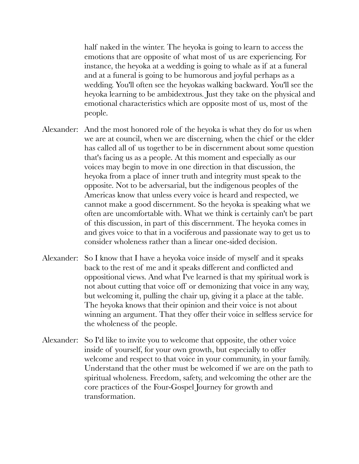half naked in the winter. The heyoka is going to learn to access the emotions that are opposite of what most of us are experiencing. For instance, the heyoka at a wedding is going to whale as if at a funeral and at a funeral is going to be humorous and joyful perhaps as a wedding. You'll often see the heyokas walking backward. You'll see the heyoka learning to be ambidextrous. Just they take on the physical and emotional characteristics which are opposite most of us, most of the people.

- Alexander: And the most honored role of the heyoka is what they do for us when we are at council, when we are discerning, when the chief or the elder has called all of us together to be in discernment about some question that's facing us as a people. At this moment and especially as our voices may begin to move in one direction in that discussion, the heyoka from a place of inner truth and integrity must speak to the opposite. Not to be adversarial, but the indigenous peoples of the Americas know that unless every voice is heard and respected, we cannot make a good discernment. So the heyoka is speaking what we often are uncomfortable with. What we think is certainly can't be part of this discussion, in part of this discernment. The heyoka comes in and gives voice to that in a vociferous and passionate way to get us to consider wholeness rather than a linear one-sided decision.
- Alexander: So I know that I have a heyoka voice inside of myself and it speaks back to the rest of me and it speaks different and conflicted and oppositional views. And what I've learned is that my spiritual work is not about cutting that voice off or demonizing that voice in any way, but welcoming it, pulling the chair up, giving it a place at the table. The heyoka knows that their opinion and their voice is not about winning an argument. That they offer their voice in selfless service for the wholeness of the people.
- Alexander: So I'd like to invite you to welcome that opposite, the other voice inside of yourself, for your own growth, but especially to offer welcome and respect to that voice in your community, in your family. Understand that the other must be welcomed if we are on the path to spiritual wholeness. Freedom, safety, and welcoming the other are the core practices of the Four-Gospel Journey for growth and transformation.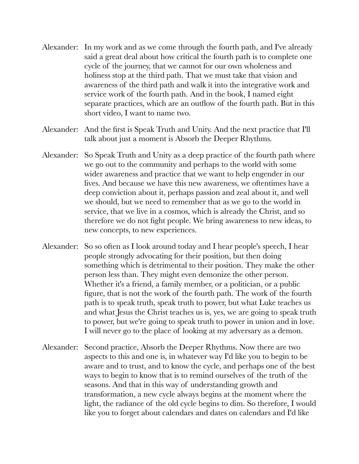- Alexander: In my work and as we come through the fourth path, and I've already said a great deal about how critical the fourth path is to complete one cycle of the journey, that we cannot for our own wholeness and holiness stop at the third path. That we must take that vision and awareness of the third path and walk it into the integrative work and service work of the fourth path. And in the book, I named eight separate practices, which are an outflow of the fourth path. But in this short video, I want to name two.
- Alexander: And the first is Speak Truth and Unity. And the next practice that I'll talk about just a moment is Absorb the Deeper Rhythms.
- Alexander: So Speak Truth and Unity as a deep practice of the fourth path where we go out to the community and perhaps to the world with some wider awareness and practice that we want to help engender in our lives. And because we have this new awareness, we oftentimes have a deep conviction about it, perhaps passion and zeal about it, and well we should, but we need to remember that as we go to the world in service, that we live in a cosmos, which is already the Christ, and so therefore we do not fight people. We bring awareness to new ideas, to new concepts, to new experiences.
- Alexander: So so often as I look around today and I hear people's speech, I hear people strongly advocating for their position, but then doing something which is detrimental to their position. They make the other person less than. They might even demonize the other person. Whether it's a friend, a family member, or a politician, or a public figure, that is not the work of the fourth path. The work of the fourth path is to speak truth, speak truth to power, but what Luke teaches us and what Jesus the Christ teaches us is, yes, we are going to speak truth to power, but we're going to speak truth to power in union and in love. I will never go to the place of looking at my adversary as a demon.
- Alexander: Second practice, Absorb the Deeper Rhythms. Now there are two aspects to this and one is, in whatever way I'd like you to begin to be aware and to trust, and to know the cycle, and perhaps one of the best ways to begin to know that is to remind ourselves of the truth of the seasons. And that in this way of understanding growth and transformation, a new cycle always begins at the moment where the light, the radiance of the old cycle begins to dim. So therefore, I would like you to forget about calendars and dates on calendars and I'd like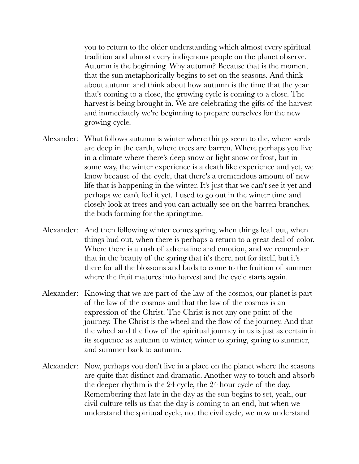you to return to the older understanding which almost every spiritual tradition and almost every indigenous people on the planet observe. Autumn is the beginning. Why autumn? Because that is the moment that the sun metaphorically begins to set on the seasons. And think about autumn and think about how autumn is the time that the year that's coming to a close, the growing cycle is coming to a close. The harvest is being brought in. We are celebrating the gifts of the harvest and immediately we're beginning to prepare ourselves for the new growing cycle.

- Alexander: What follows autumn is winter where things seem to die, where seeds are deep in the earth, where trees are barren. Where perhaps you live in a climate where there's deep snow or light snow or frost, but in some way, the winter experience is a death like experience and yet, we know because of the cycle, that there's a tremendous amount of new life that is happening in the winter. It's just that we can't see it yet and perhaps we can't feel it yet. I used to go out in the winter time and closely look at trees and you can actually see on the barren branches, the buds forming for the springtime.
- Alexander: And then following winter comes spring, when things leaf out, when things bud out, when there is perhaps a return to a great deal of color. Where there is a rush of adrenaline and emotion, and we remember that in the beauty of the spring that it's there, not for itself, but it's there for all the blossoms and buds to come to the fruition of summer where the fruit matures into harvest and the cycle starts again.
- Alexander: Knowing that we are part of the law of the cosmos, our planet is part of the law of the cosmos and that the law of the cosmos is an expression of the Christ. The Christ is not any one point of the journey. The Christ is the wheel and the flow of the journey. And that the wheel and the flow of the spiritual journey in us is just as certain in its sequence as autumn to winter, winter to spring, spring to summer, and summer back to autumn.
- Alexander: Now, perhaps you don't live in a place on the planet where the seasons are quite that distinct and dramatic. Another way to touch and absorb the deeper rhythm is the 24 cycle, the 24 hour cycle of the day. Remembering that late in the day as the sun begins to set, yeah, our civil culture tells us that the day is coming to an end, but when we understand the spiritual cycle, not the civil cycle, we now understand